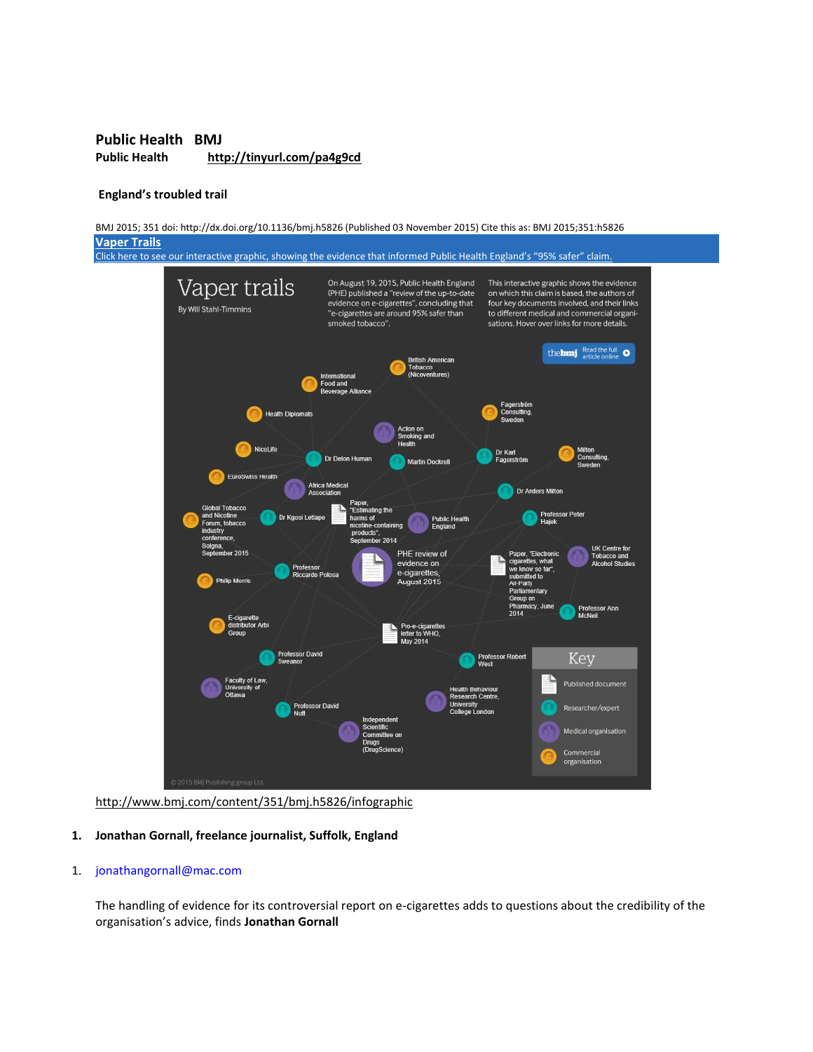## **Public Health BMJ Public Health http://tinyurl.com/pa4g9cd**

#### **England's troubled trail**



http://www.bmj.com/content/351/bmj.h5826/infographic

#### **1. Jonathan Gornall, freelance journalist, Suffolk, England**

#### 1. [jonathangornall@mac.com](mailto:jonathangornall@mac.com)

The handling of evidence for its controversial report on e-cigarettes adds to questions about the credibility of the organisation's advice, finds **Jonathan Gornall**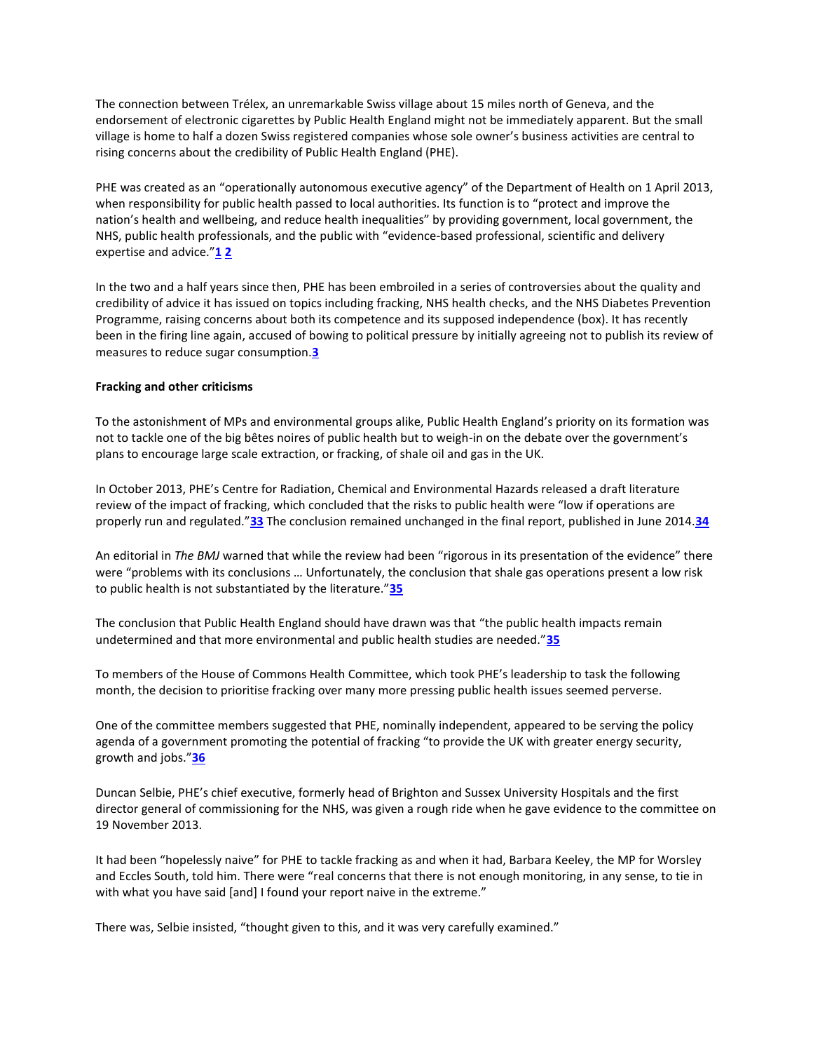The connection between Trélex, an unremarkable Swiss village about 15 miles north of Geneva, and the endorsement of electronic cigarettes by Public Health England might not be immediately apparent. But the small village is home to half a dozen Swiss registered companies whose sole owner's business activities are central to rising concerns about the credibility of Public Health England (PHE).

PHE was created as an "operationally autonomous executive agency" of the Department of Health on 1 April 2013, when responsibility for public health passed to local authorities. Its function is to "protect and improve the nation's health and wellbeing, and reduce health inequalities" by providing government, local government, the NHS, public health professionals, and the public with "evidence-based professional, scientific and delivery expertise and advice."**[1](http://www.bmj.com/content/351/bmj.h5826?hwoasp=authn%3A1446806977%3A4130230%3A3261704988%3A0%3A0%3Ag9aOiOsVY4RneZHSNQ6LMQ%3D%3D#ref-1) [2](http://www.bmj.com/content/351/bmj.h5826?hwoasp=authn%3A1446806977%3A4130230%3A3261704988%3A0%3A0%3Ag9aOiOsVY4RneZHSNQ6LMQ%3D%3D#ref-2)**

In the two and a half years since then, PHE has been embroiled in a series of controversies about the quality and credibility of advice it has issued on topics including fracking, NHS health checks, and the NHS Diabetes Prevention Programme, raising concerns about both its competence and its supposed independence (box). It has recently been in the firing line again, accused of bowing to political pressure by initially agreeing not to publish its review of measures to reduce sugar consumption.**[3](http://www.bmj.com/content/351/bmj.h5826?hwoasp=authn%3A1446806977%3A4130230%3A3261704988%3A0%3A0%3Ag9aOiOsVY4RneZHSNQ6LMQ%3D%3D#ref-3)**

#### **Fracking and other criticisms**

To the astonishment of MPs and environmental groups alike, Public Health England's priority on its formation was not to tackle one of the big bêtes noires of public health but to weigh-in on the debate over the government's plans to encourage large scale extraction, or fracking, of shale oil and gas in the UK.

In October 2013, PHE's Centre for Radiation, Chemical and Environmental Hazards released a draft literature review of the impact of fracking, which concluded that the risks to public health were "low if operations are properly run and regulated."**[33](http://www.bmj.com/content/351/bmj.h5826?hwoasp=authn%3A1446806977%3A4130230%3A3261704988%3A0%3A0%3Ag9aOiOsVY4RneZHSNQ6LMQ%3D%3D#ref-33)** The conclusion remained unchanged in the final report, published in June 2014.**[34](http://www.bmj.com/content/351/bmj.h5826?hwoasp=authn%3A1446806977%3A4130230%3A3261704988%3A0%3A0%3Ag9aOiOsVY4RneZHSNQ6LMQ%3D%3D#ref-34)**

An editorial in *The BMJ* warned that while the review had been "rigorous in its presentation of the evidence" there were "problems with its conclusions … Unfortunately, the conclusion that shale gas operations present a low risk to public health is not substantiated by the literature."**[35](http://www.bmj.com/content/351/bmj.h5826?hwoasp=authn%3A1446806977%3A4130230%3A3261704988%3A0%3A0%3Ag9aOiOsVY4RneZHSNQ6LMQ%3D%3D#ref-35)**

The conclusion that Public Health England should have drawn was that "the public health impacts remain undetermined and that more environmental and public health studies are needed."**[35](http://www.bmj.com/content/351/bmj.h5826?hwoasp=authn%3A1446806977%3A4130230%3A3261704988%3A0%3A0%3Ag9aOiOsVY4RneZHSNQ6LMQ%3D%3D#ref-35)**

To members of the House of Commons Health Committee, which took PHE's leadership to task the following month, the decision to prioritise fracking over many more pressing public health issues seemed perverse.

One of the committee members suggested that PHE, nominally independent, appeared to be serving the policy agenda of a government promoting the potential of fracking "to provide the UK with greater energy security, growth and jobs."**[36](http://www.bmj.com/content/351/bmj.h5826?hwoasp=authn%3A1446806977%3A4130230%3A3261704988%3A0%3A0%3Ag9aOiOsVY4RneZHSNQ6LMQ%3D%3D#ref-36)**

Duncan Selbie, PHE's chief executive, formerly head of Brighton and Sussex University Hospitals and the first director general of commissioning for the NHS, was given a rough ride when he gave evidence to the committee on 19 November 2013.

It had been "hopelessly naive" for PHE to tackle fracking as and when it had, Barbara Keeley, the MP for Worsley and Eccles South, told him. There were "real concerns that there is not enough monitoring, in any sense, to tie in with what you have said [and] I found your report naive in the extreme."

There was, Selbie insisted, "thought given to this, and it was very carefully examined."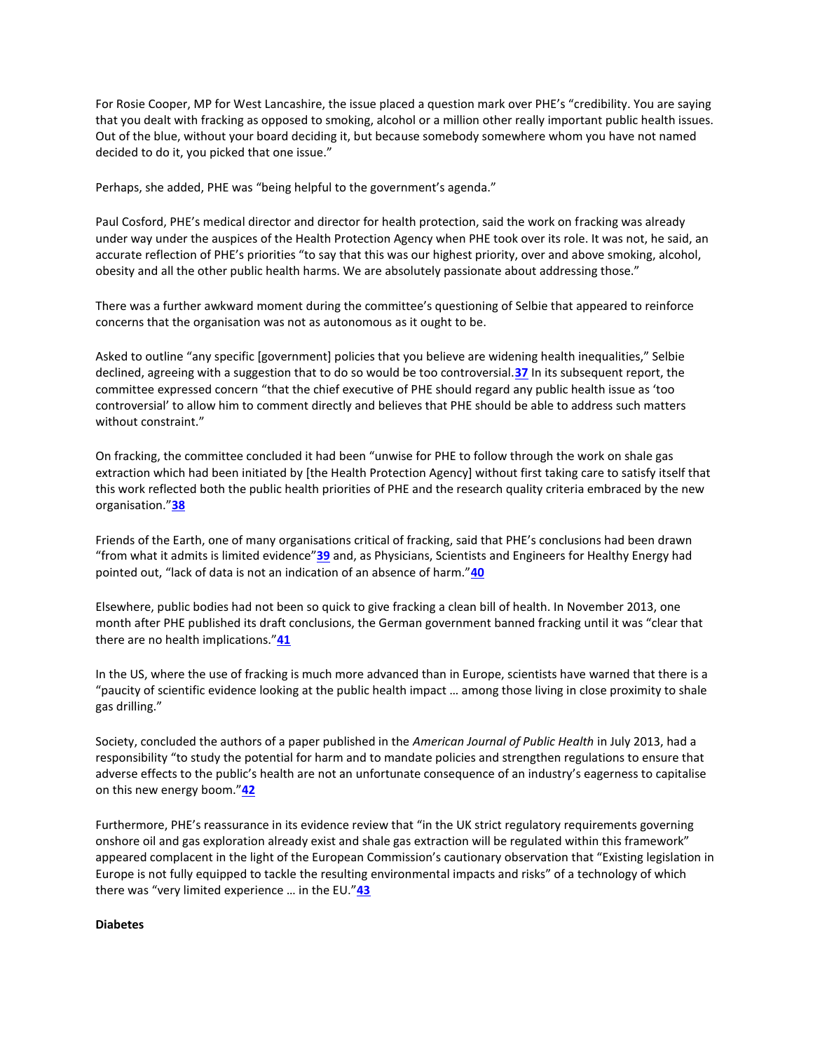For Rosie Cooper, MP for West Lancashire, the issue placed a question mark over PHE's "credibility. You are saying that you dealt with fracking as opposed to smoking, alcohol or a million other really important public health issues. Out of the blue, without your board deciding it, but because somebody somewhere whom you have not named decided to do it, you picked that one issue."

Perhaps, she added, PHE was "being helpful to the government's agenda."

Paul Cosford, PHE's medical director and director for health protection, said the work on fracking was already under way under the auspices of the Health Protection Agency when PHE took over its role. It was not, he said, an accurate reflection of PHE's priorities "to say that this was our highest priority, over and above smoking, alcohol, obesity and all the other public health harms. We are absolutely passionate about addressing those."

There was a further awkward moment during the committee's questioning of Selbie that appeared to reinforce concerns that the organisation was not as autonomous as it ought to be.

Asked to outline "any specific [government] policies that you believe are widening health inequalities," Selbie declined, agreeing with a suggestion that to do so would be too controversial.**[37](http://www.bmj.com/content/351/bmj.h5826?hwoasp=authn%3A1446806977%3A4130230%3A3261704988%3A0%3A0%3Ag9aOiOsVY4RneZHSNQ6LMQ%3D%3D#ref-37)** In its subsequent report, the committee expressed concern "that the chief executive of PHE should regard any public health issue as 'too controversial' to allow him to comment directly and believes that PHE should be able to address such matters without constraint."

On fracking, the committee concluded it had been "unwise for PHE to follow through the work on shale gas extraction which had been initiated by [the Health Protection Agency] without first taking care to satisfy itself that this work reflected both the public health priorities of PHE and the research quality criteria embraced by the new organisation."**[38](http://www.bmj.com/content/351/bmj.h5826?hwoasp=authn%3A1446806977%3A4130230%3A3261704988%3A0%3A0%3Ag9aOiOsVY4RneZHSNQ6LMQ%3D%3D#ref-38)**

Friends of the Earth, one of many organisations critical of fracking, said that PHE's conclusions had been drawn "from what it admits is limited evidence"**[39](http://www.bmj.com/content/351/bmj.h5826?hwoasp=authn%3A1446806977%3A4130230%3A3261704988%3A0%3A0%3Ag9aOiOsVY4RneZHSNQ6LMQ%3D%3D#ref-39)** and, as Physicians, Scientists and Engineers for Healthy Energy had pointed out, "lack of data is not an indication of an absence of harm."**[40](http://www.bmj.com/content/351/bmj.h5826?hwoasp=authn%3A1446806977%3A4130230%3A3261704988%3A0%3A0%3Ag9aOiOsVY4RneZHSNQ6LMQ%3D%3D#ref-40)**

Elsewhere, public bodies had not been so quick to give fracking a clean bill of health. In November 2013, one month after PHE published its draft conclusions, the German government banned fracking until it was "clear that there are no health implications."**[41](http://www.bmj.com/content/351/bmj.h5826?hwoasp=authn%3A1446806977%3A4130230%3A3261704988%3A0%3A0%3Ag9aOiOsVY4RneZHSNQ6LMQ%3D%3D#ref-41)**

In the US, where the use of fracking is much more advanced than in Europe, scientists have warned that there is a "paucity of scientific evidence looking at the public health impact … among those living in close proximity to shale gas drilling."

Society, concluded the authors of a paper published in the *American Journal of Public Health* in July 2013, had a responsibility "to study the potential for harm and to mandate policies and strengthen regulations to ensure that adverse effects to the public's health are not an unfortunate consequence of an industry's eagerness to capitalise on this new energy boom."**[42](http://www.bmj.com/content/351/bmj.h5826?hwoasp=authn%3A1446806977%3A4130230%3A3261704988%3A0%3A0%3Ag9aOiOsVY4RneZHSNQ6LMQ%3D%3D#ref-42)**

Furthermore, PHE's reassurance in its evidence review that "in the UK strict regulatory requirements governing onshore oil and gas exploration already exist and shale gas extraction will be regulated within this framework" appeared complacent in the light of the European Commission's cautionary observation that "Existing legislation in Europe is not fully equipped to tackle the resulting environmental impacts and risks" of a technology of which there was "very limited experience … in the EU."**[43](http://www.bmj.com/content/351/bmj.h5826?hwoasp=authn%3A1446806977%3A4130230%3A3261704988%3A0%3A0%3Ag9aOiOsVY4RneZHSNQ6LMQ%3D%3D#ref-43)**

#### **Diabetes**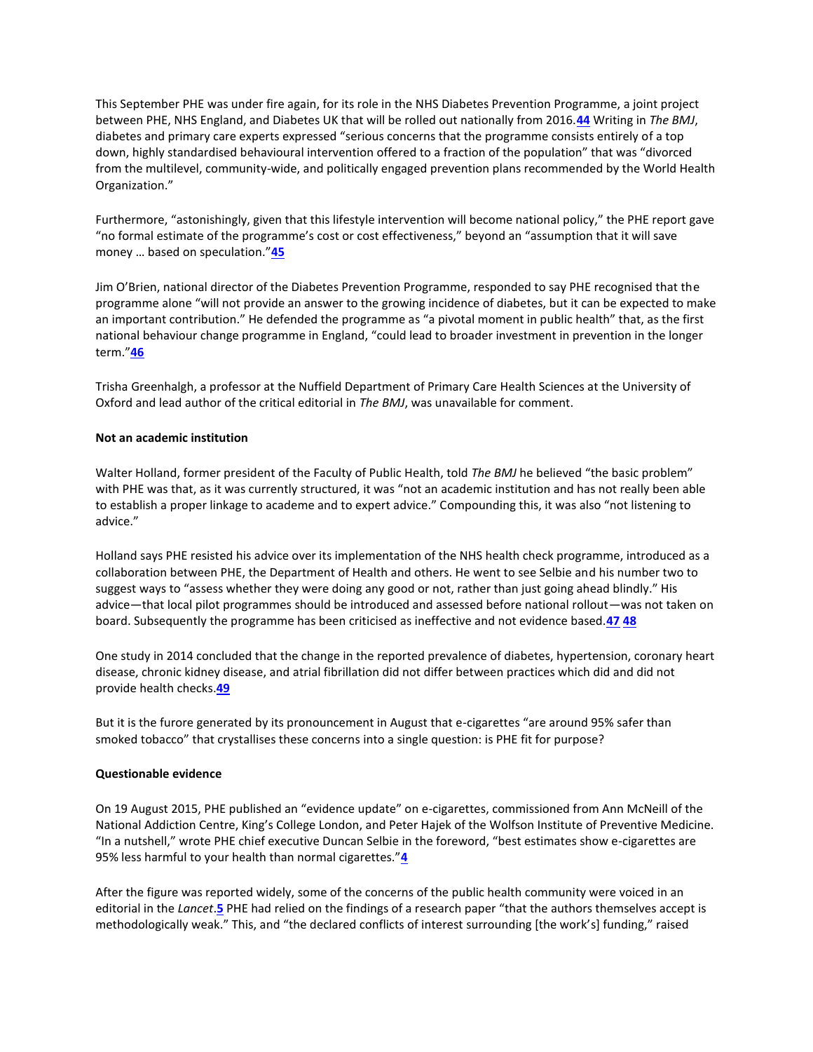This September PHE was under fire again, for its role in the NHS Diabetes Prevention Programme, a joint project between PHE, NHS England, and Diabetes UK that will be rolled out nationally from 2016.**[44](http://www.bmj.com/content/351/bmj.h5826?hwoasp=authn%3A1446806977%3A4130230%3A3261704988%3A0%3A0%3Ag9aOiOsVY4RneZHSNQ6LMQ%3D%3D#ref-44)** Writing in *The BMJ*, diabetes and primary care experts expressed "serious concerns that the programme consists entirely of a top down, highly standardised behavioural intervention offered to a fraction of the population" that was "divorced from the multilevel, community-wide, and politically engaged prevention plans recommended by the World Health Organization."

Furthermore, "astonishingly, given that this lifestyle intervention will become national policy," the PHE report gave "no formal estimate of the programme's cost or cost effectiveness," beyond an "assumption that it will save money … based on speculation."**[45](http://www.bmj.com/content/351/bmj.h5826?hwoasp=authn%3A1446806977%3A4130230%3A3261704988%3A0%3A0%3Ag9aOiOsVY4RneZHSNQ6LMQ%3D%3D#ref-45)**

Jim O'Brien, national director of the Diabetes Prevention Programme, responded to say PHE recognised that the programme alone "will not provide an answer to the growing incidence of diabetes, but it can be expected to make an important contribution." He defended the programme as "a pivotal moment in public health" that, as the first national behaviour change programme in England, "could lead to broader investment in prevention in the longer term."**[46](http://www.bmj.com/content/351/bmj.h5826?hwoasp=authn%3A1446806977%3A4130230%3A3261704988%3A0%3A0%3Ag9aOiOsVY4RneZHSNQ6LMQ%3D%3D#ref-46)**

Trisha Greenhalgh, a professor at the Nuffield Department of Primary Care Health Sciences at the University of Oxford and lead author of the critical editorial in *The BMJ*, was unavailable for comment.

#### **Not an academic institution**

Walter Holland, former president of the Faculty of Public Health, told *The BMJ* he believed "the basic problem" with PHE was that, as it was currently structured, it was "not an academic institution and has not really been able to establish a proper linkage to academe and to expert advice." Compounding this, it was also "not listening to advice."

Holland says PHE resisted his advice over its implementation of the NHS health check programme, introduced as a collaboration between PHE, the Department of Health and others. He went to see Selbie and his number two to suggest ways to "assess whether they were doing any good or not, rather than just going ahead blindly." His advice—that local pilot programmes should be introduced and assessed before national rollout—was not taken on board. Subsequently the programme has been criticised as ineffective and not evidence based.**[47](http://www.bmj.com/content/351/bmj.h5826?hwoasp=authn%3A1446806977%3A4130230%3A3261704988%3A0%3A0%3Ag9aOiOsVY4RneZHSNQ6LMQ%3D%3D#ref-47) [48](http://www.bmj.com/content/351/bmj.h5826?hwoasp=authn%3A1446806977%3A4130230%3A3261704988%3A0%3A0%3Ag9aOiOsVY4RneZHSNQ6LMQ%3D%3D#ref-48)**

One study in 2014 concluded that the change in the reported prevalence of diabetes, hypertension, coronary heart disease, chronic kidney disease, and atrial fibrillation did not differ between practices which did and did not provide health checks.**[49](http://www.bmj.com/content/351/bmj.h5826?hwoasp=authn%3A1446806977%3A4130230%3A3261704988%3A0%3A0%3Ag9aOiOsVY4RneZHSNQ6LMQ%3D%3D#ref-49)**

But it is the furore generated by its pronouncement in August that e-cigarettes "are around 95% safer than smoked tobacco" that crystallises these concerns into a single question: is PHE fit for purpose?

#### **Questionable evidence**

On 19 August 2015, PHE published an "evidence update" on e-cigarettes, commissioned from Ann McNeill of the National Addiction Centre, King's College London, and Peter Hajek of the Wolfson Institute of Preventive Medicine. "In a nutshell," wrote PHE chief executive Duncan Selbie in the foreword, "best estimates show e-cigarettes are 95% less harmful to your health than normal cigarettes."**[4](http://www.bmj.com/content/351/bmj.h5826?hwoasp=authn%3A1446806977%3A4130230%3A3261704988%3A0%3A0%3Ag9aOiOsVY4RneZHSNQ6LMQ%3D%3D#ref-4)**

After the figure was reported widely, some of the concerns of the public health community were voiced in an editorial in the *Lancet*.**[5](http://www.bmj.com/content/351/bmj.h5826?hwoasp=authn%3A1446806977%3A4130230%3A3261704988%3A0%3A0%3Ag9aOiOsVY4RneZHSNQ6LMQ%3D%3D#ref-5)** PHE had relied on the findings of a research paper "that the authors themselves accept is methodologically weak." This, and "the declared conflicts of interest surrounding [the work's] funding," raised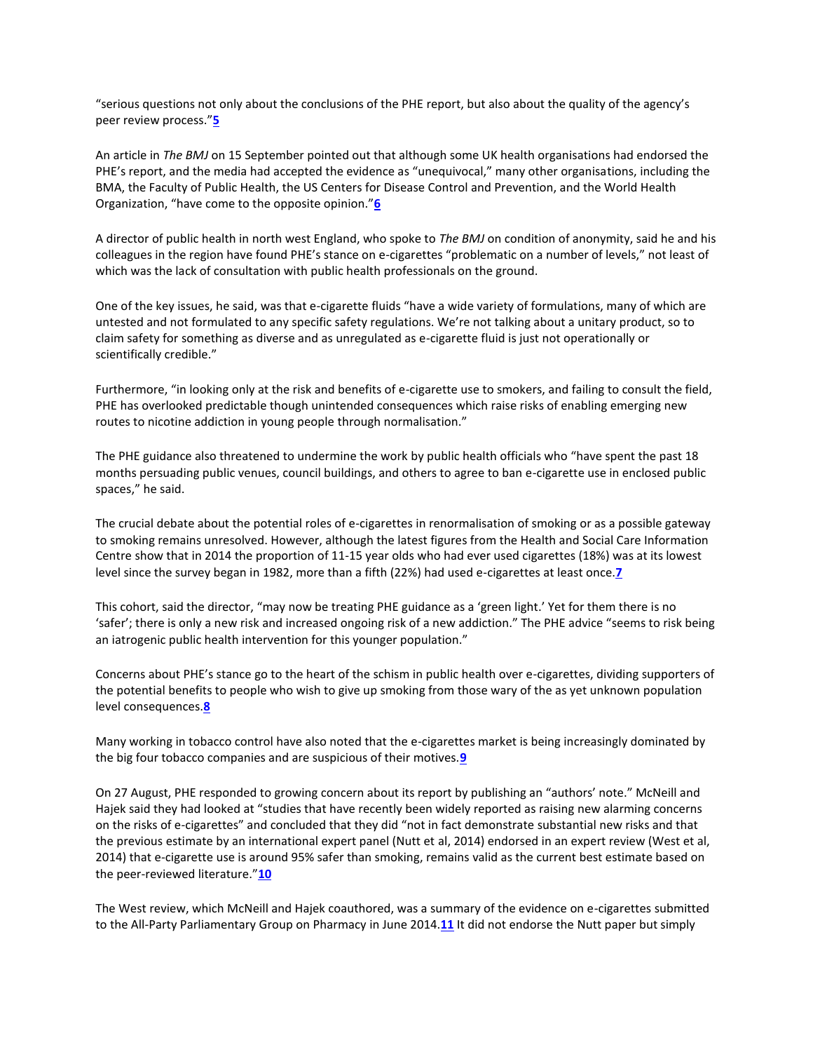"serious questions not only about the conclusions of the PHE report, but also about the quality of the agency's peer review process."**[5](http://www.bmj.com/content/351/bmj.h5826?hwoasp=authn%3A1446806977%3A4130230%3A3261704988%3A0%3A0%3Ag9aOiOsVY4RneZHSNQ6LMQ%3D%3D#ref-5)**

An article in *The BMJ* on 15 September pointed out that although some UK health organisations had endorsed the PHE's report, and the media had accepted the evidence as "unequivocal," many other organisations, including the BMA, the Faculty of Public Health, the US Centers for Disease Control and Prevention, and the World Health Organization, "have come to the opposite opinion."**[6](http://www.bmj.com/content/351/bmj.h5826?hwoasp=authn%3A1446806977%3A4130230%3A3261704988%3A0%3A0%3Ag9aOiOsVY4RneZHSNQ6LMQ%3D%3D#ref-6)**

A director of public health in north west England, who spoke to *The BMJ* on condition of anonymity, said he and his colleagues in the region have found PHE's stance on e-cigarettes "problematic on a number of levels," not least of which was the lack of consultation with public health professionals on the ground.

One of the key issues, he said, was that e-cigarette fluids "have a wide variety of formulations, many of which are untested and not formulated to any specific safety regulations. We're not talking about a unitary product, so to claim safety for something as diverse and as unregulated as e-cigarette fluid is just not operationally or scientifically credible."

Furthermore, "in looking only at the risk and benefits of e-cigarette use to smokers, and failing to consult the field, PHE has overlooked predictable though unintended consequences which raise risks of enabling emerging new routes to nicotine addiction in young people through normalisation."

The PHE guidance also threatened to undermine the work by public health officials who "have spent the past 18 months persuading public venues, council buildings, and others to agree to ban e-cigarette use in enclosed public spaces," he said.

The crucial debate about the potential roles of e-cigarettes in renormalisation of smoking or as a possible gateway to smoking remains unresolved. However, although the latest figures from the Health and Social Care Information Centre show that in 2014 the proportion of 11-15 year olds who had ever used cigarettes (18%) was at its lowest level since the survey began in 1982, more than a fifth (22%) had used e-cigarettes at least once.**[7](http://www.bmj.com/content/351/bmj.h5826?hwoasp=authn%3A1446806977%3A4130230%3A3261704988%3A0%3A0%3Ag9aOiOsVY4RneZHSNQ6LMQ%3D%3D#ref-7)**

This cohort, said the director, "may now be treating PHE guidance as a 'green light.' Yet for them there is no 'safer'; there is only a new risk and increased ongoing risk of a new addiction." The PHE advice "seems to risk being an iatrogenic public health intervention for this younger population."

Concerns about PHE's stance go to the heart of the schism in public health over e-cigarettes, dividing supporters of the potential benefits to people who wish to give up smoking from those wary of the as yet unknown population level consequences.**[8](http://www.bmj.com/content/351/bmj.h5826?hwoasp=authn%3A1446806977%3A4130230%3A3261704988%3A0%3A0%3Ag9aOiOsVY4RneZHSNQ6LMQ%3D%3D#ref-8)**

Many working in tobacco control have also noted that the e-cigarettes market is being increasingly dominated by the big four tobacco companies and are suspicious of their motives.**[9](http://www.bmj.com/content/351/bmj.h5826?hwoasp=authn%3A1446806977%3A4130230%3A3261704988%3A0%3A0%3Ag9aOiOsVY4RneZHSNQ6LMQ%3D%3D#ref-9)**

On 27 August, PHE responded to growing concern about its report by publishing an "authors' note." McNeill and Hajek said they had looked at "studies that have recently been widely reported as raising new alarming concerns on the risks of e-cigarettes" and concluded that they did "not in fact demonstrate substantial new risks and that the previous estimate by an international expert panel (Nutt et al, 2014) endorsed in an expert review (West et al, 2014) that e-cigarette use is around 95% safer than smoking, remains valid as the current best estimate based on the peer-reviewed literature."**[10](http://www.bmj.com/content/351/bmj.h5826?hwoasp=authn%3A1446806977%3A4130230%3A3261704988%3A0%3A0%3Ag9aOiOsVY4RneZHSNQ6LMQ%3D%3D#ref-10)**

The West review, which McNeill and Hajek coauthored, was a summary of the evidence on e-cigarettes submitted to the All-Party Parliamentary Group on Pharmacy in June 2014.**[11](http://www.bmj.com/content/351/bmj.h5826?hwoasp=authn%3A1446806977%3A4130230%3A3261704988%3A0%3A0%3Ag9aOiOsVY4RneZHSNQ6LMQ%3D%3D#ref-11)** It did not endorse the Nutt paper but simply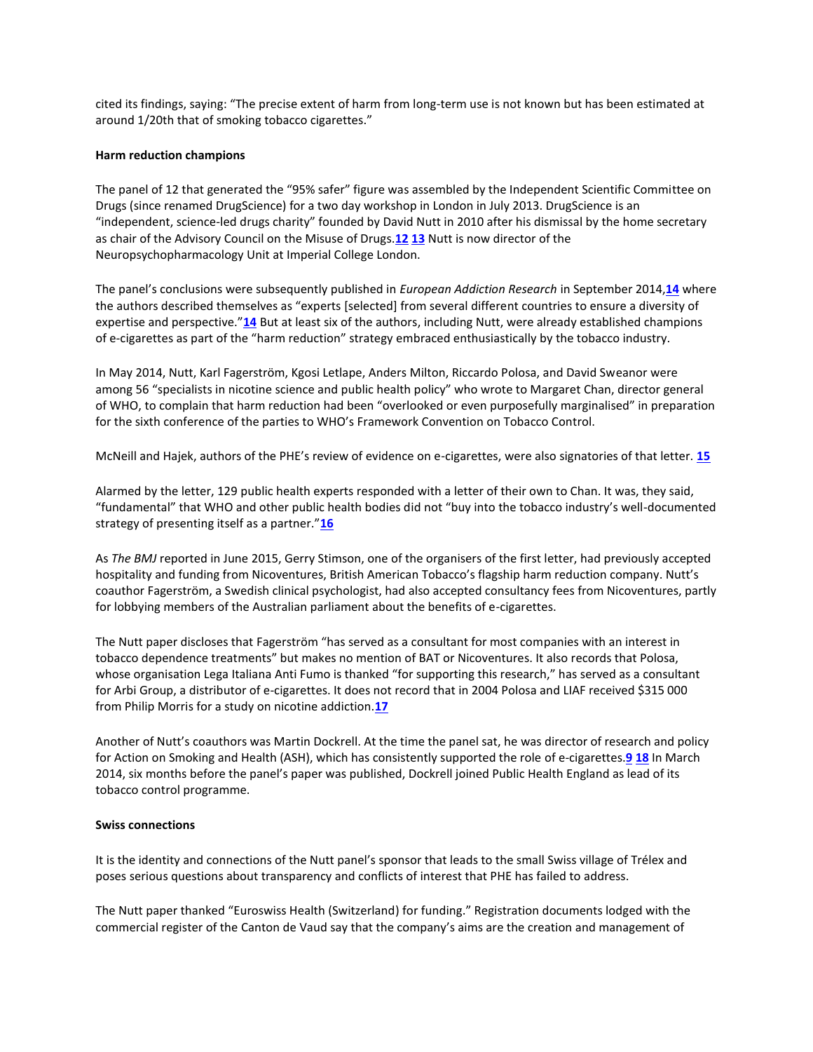cited its findings, saying: "The precise extent of harm from long-term use is not known but has been estimated at around 1/20th that of smoking tobacco cigarettes."

#### **Harm reduction champions**

The panel of 12 that generated the "95% safer" figure was assembled by the Independent Scientific Committee on Drugs (since renamed DrugScience) for a two day workshop in London in July 2013. DrugScience is an "independent, science-led drugs charity" founded by David Nutt in 2010 after his dismissal by the home secretary as chair of the Advisory Council on the Misuse of Drugs.**[12](http://www.bmj.com/content/351/bmj.h5826?hwoasp=authn%3A1446806977%3A4130230%3A3261704988%3A0%3A0%3Ag9aOiOsVY4RneZHSNQ6LMQ%3D%3D#ref-12) [13](http://www.bmj.com/content/351/bmj.h5826?hwoasp=authn%3A1446806977%3A4130230%3A3261704988%3A0%3A0%3Ag9aOiOsVY4RneZHSNQ6LMQ%3D%3D#ref-13)** Nutt is now director of the Neuropsychopharmacology Unit at Imperial College London.

The panel's conclusions were subsequently published in *European Addiction Research* in September 2014,**[14](http://www.bmj.com/content/351/bmj.h5826?hwoasp=authn%3A1446806977%3A4130230%3A3261704988%3A0%3A0%3Ag9aOiOsVY4RneZHSNQ6LMQ%3D%3D#ref-14)** where the authors described themselves as "experts [selected] from several different countries to ensure a diversity of expertise and perspective."**[14](http://www.bmj.com/content/351/bmj.h5826?hwoasp=authn%3A1446806977%3A4130230%3A3261704988%3A0%3A0%3Ag9aOiOsVY4RneZHSNQ6LMQ%3D%3D#ref-14)** But at least six of the authors, including Nutt, were already established champions of e-cigarettes as part of the "harm reduction" strategy embraced enthusiastically by the tobacco industry.

In May 2014, Nutt, Karl Fagerström, Kgosi Letlape, Anders Milton, Riccardo Polosa, and David Sweanor were among 56 "specialists in nicotine science and public health policy" who wrote to Margaret Chan, director general of WHO, to complain that harm reduction had been "overlooked or even purposefully marginalised" in preparation for the sixth conference of the parties to WHO's Framework Convention on Tobacco Control.

McNeill and Hajek, authors of the PHE's review of evidence on e-cigarettes, were also signatories of that letter. **[15](http://www.bmj.com/content/351/bmj.h5826?hwoasp=authn%3A1446806977%3A4130230%3A3261704988%3A0%3A0%3Ag9aOiOsVY4RneZHSNQ6LMQ%3D%3D#ref-15)**

Alarmed by the letter, 129 public health experts responded with a letter of their own to Chan. It was, they said, "fundamental" that WHO and other public health bodies did not "buy into the tobacco industry's well-documented strategy of presenting itself as a partner."**[16](http://www.bmj.com/content/351/bmj.h5826?hwoasp=authn%3A1446806977%3A4130230%3A3261704988%3A0%3A0%3Ag9aOiOsVY4RneZHSNQ6LMQ%3D%3D#ref-16)**

As *The BMJ* reported in June 2015, Gerry Stimson, one of the organisers of the first letter, had previously accepted hospitality and funding from Nicoventures, British American Tobacco's flagship harm reduction company. Nutt's coauthor Fagerström, a Swedish clinical psychologist, had also accepted consultancy fees from Nicoventures, partly for lobbying members of the Australian parliament about the benefits of e-cigarettes.

The Nutt paper discloses that Fagerström "has served as a consultant for most companies with an interest in tobacco dependence treatments" but makes no mention of BAT or Nicoventures. It also records that Polosa, whose organisation Lega Italiana Anti Fumo is thanked "for supporting this research," has served as a consultant for Arbi Group, a distributor of e-cigarettes. It does not record that in 2004 Polosa and LIAF received \$315 000 from Philip Morris for a study on nicotine addiction.**[17](http://www.bmj.com/content/351/bmj.h5826?hwoasp=authn%3A1446806977%3A4130230%3A3261704988%3A0%3A0%3Ag9aOiOsVY4RneZHSNQ6LMQ%3D%3D#ref-17)**

Another of Nutt's coauthors was Martin Dockrell. At the time the panel sat, he was director of research and policy for Action on Smoking and Health (ASH), which has consistently supported the role of e-cigarettes.**[9](http://www.bmj.com/content/351/bmj.h5826?hwoasp=authn%3A1446806977%3A4130230%3A3261704988%3A0%3A0%3Ag9aOiOsVY4RneZHSNQ6LMQ%3D%3D#ref-9) [18](http://www.bmj.com/content/351/bmj.h5826?hwoasp=authn%3A1446806977%3A4130230%3A3261704988%3A0%3A0%3Ag9aOiOsVY4RneZHSNQ6LMQ%3D%3D#ref-18)** In March 2014, six months before the panel's paper was published, Dockrell joined Public Health England as lead of its tobacco control programme.

#### **Swiss connections**

It is the identity and connections of the Nutt panel's sponsor that leads to the small Swiss village of Trélex and poses serious questions about transparency and conflicts of interest that PHE has failed to address.

The Nutt paper thanked "Euroswiss Health (Switzerland) for funding." Registration documents lodged with the commercial register of the Canton de Vaud say that the company's aims are the creation and management of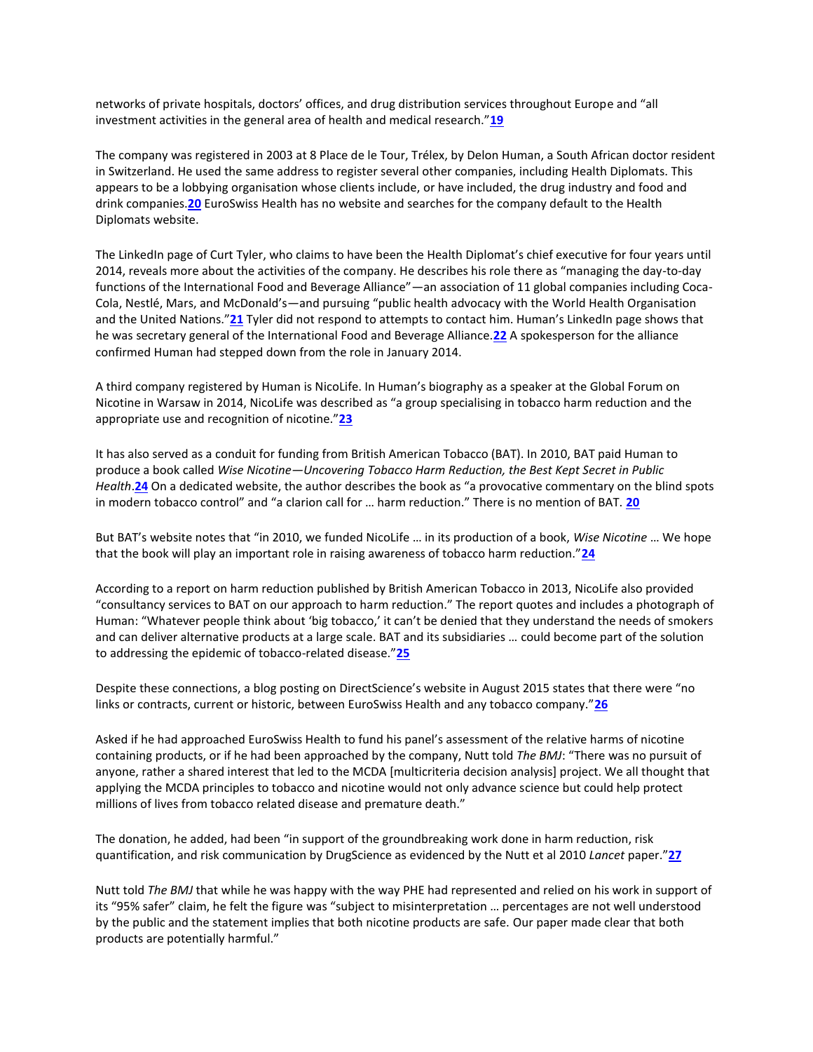networks of private hospitals, doctors' offices, and drug distribution services throughout Europe and "all investment activities in the general area of health and medical research."**[19](http://www.bmj.com/content/351/bmj.h5826?hwoasp=authn%3A1446806977%3A4130230%3A3261704988%3A0%3A0%3Ag9aOiOsVY4RneZHSNQ6LMQ%3D%3D#ref-19)**

The company was registered in 2003 at 8 Place de le Tour, Trélex, by Delon Human, a South African doctor resident in Switzerland. He used the same address to register several other companies, including Health Diplomats. This appears to be a lobbying organisation whose clients include, or have included, the drug industry and food and drink companies.**[20](http://www.bmj.com/content/351/bmj.h5826?hwoasp=authn%3A1446806977%3A4130230%3A3261704988%3A0%3A0%3Ag9aOiOsVY4RneZHSNQ6LMQ%3D%3D#ref-20)** EuroSwiss Health has no website and searches for the company default to the Health Diplomats website.

The LinkedIn page of Curt Tyler, who claims to have been the Health Diplomat's chief executive for four years until 2014, reveals more about the activities of the company. He describes his role there as "managing the day-to-day functions of the International Food and Beverage Alliance"—an association of 11 global companies including Coca-Cola, Nestlé, Mars, and McDonald's—and pursuing "public health advocacy with the World Health Organisation and the United Nations."**[21](http://www.bmj.com/content/351/bmj.h5826?hwoasp=authn%3A1446806977%3A4130230%3A3261704988%3A0%3A0%3Ag9aOiOsVY4RneZHSNQ6LMQ%3D%3D#ref-21)** Tyler did not respond to attempts to contact him. Human's LinkedIn page shows that he was secretary general of the International Food and Beverage Alliance.**[22](http://www.bmj.com/content/351/bmj.h5826?hwoasp=authn%3A1446806977%3A4130230%3A3261704988%3A0%3A0%3Ag9aOiOsVY4RneZHSNQ6LMQ%3D%3D#ref-22)** A spokesperson for the alliance confirmed Human had stepped down from the role in January 2014.

A third company registered by Human is NicoLife. In Human's biography as a speaker at the Global Forum on Nicotine in Warsaw in 2014, NicoLife was described as "a group specialising in tobacco harm reduction and the appropriate use and recognition of nicotine."**[23](http://www.bmj.com/content/351/bmj.h5826?hwoasp=authn%3A1446806977%3A4130230%3A3261704988%3A0%3A0%3Ag9aOiOsVY4RneZHSNQ6LMQ%3D%3D#ref-23)**

It has also served as a conduit for funding from British American Tobacco (BAT). In 2010, BAT paid Human to produce a book called *Wise Nicotine—Uncovering Tobacco Harm Reduction, the Best Kept Secret in Public Health*.**[24](http://www.bmj.com/content/351/bmj.h5826?hwoasp=authn%3A1446806977%3A4130230%3A3261704988%3A0%3A0%3Ag9aOiOsVY4RneZHSNQ6LMQ%3D%3D#ref-24)** On a dedicated website, the author describes the book as "a provocative commentary on the blind spots in modern tobacco control" and "a clarion call for … harm reduction." There is no mention of BAT. **[20](http://www.bmj.com/content/351/bmj.h5826?hwoasp=authn%3A1446806977%3A4130230%3A3261704988%3A0%3A0%3Ag9aOiOsVY4RneZHSNQ6LMQ%3D%3D#ref-20)**

But BAT's website notes that "in 2010, we funded NicoLife … in its production of a book, *Wise Nicotine* … We hope that the book will play an important role in raising awareness of tobacco harm reduction."**[24](http://www.bmj.com/content/351/bmj.h5826?hwoasp=authn%3A1446806977%3A4130230%3A3261704988%3A0%3A0%3Ag9aOiOsVY4RneZHSNQ6LMQ%3D%3D#ref-24)**

According to a report on harm reduction published by British American Tobacco in 2013, NicoLife also provided "consultancy services to BAT on our approach to harm reduction." The report quotes and includes a photograph of Human: "Whatever people think about 'big tobacco,' it can't be denied that they understand the needs of smokers and can deliver alternative products at a large scale. BAT and its subsidiaries … could become part of the solution to addressing the epidemic of tobacco-related disease."**[25](http://www.bmj.com/content/351/bmj.h5826?hwoasp=authn%3A1446806977%3A4130230%3A3261704988%3A0%3A0%3Ag9aOiOsVY4RneZHSNQ6LMQ%3D%3D#ref-25)**

Despite these connections, a blog posting on DirectScience's website in August 2015 states that there were "no links or contracts, current or historic, between EuroSwiss Health and any tobacco company."**[26](http://www.bmj.com/content/351/bmj.h5826?hwoasp=authn%3A1446806977%3A4130230%3A3261704988%3A0%3A0%3Ag9aOiOsVY4RneZHSNQ6LMQ%3D%3D#ref-26)**

Asked if he had approached EuroSwiss Health to fund his panel's assessment of the relative harms of nicotine containing products, or if he had been approached by the company, Nutt told *The BMJ*: "There was no pursuit of anyone, rather a shared interest that led to the MCDA [multicriteria decision analysis] project. We all thought that applying the MCDA principles to tobacco and nicotine would not only advance science but could help protect millions of lives from tobacco related disease and premature death."

The donation, he added, had been "in support of the groundbreaking work done in harm reduction, risk quantification, and risk communication by DrugScience as evidenced by the Nutt et al 2010 *Lancet* paper."**[27](http://www.bmj.com/content/351/bmj.h5826?hwoasp=authn%3A1446806977%3A4130230%3A3261704988%3A0%3A0%3Ag9aOiOsVY4RneZHSNQ6LMQ%3D%3D#ref-27)**

Nutt told *The BMJ* that while he was happy with the way PHE had represented and relied on his work in support of its "95% safer" claim, he felt the figure was "subject to misinterpretation … percentages are not well understood by the public and the statement implies that both nicotine products are safe. Our paper made clear that both products are potentially harmful."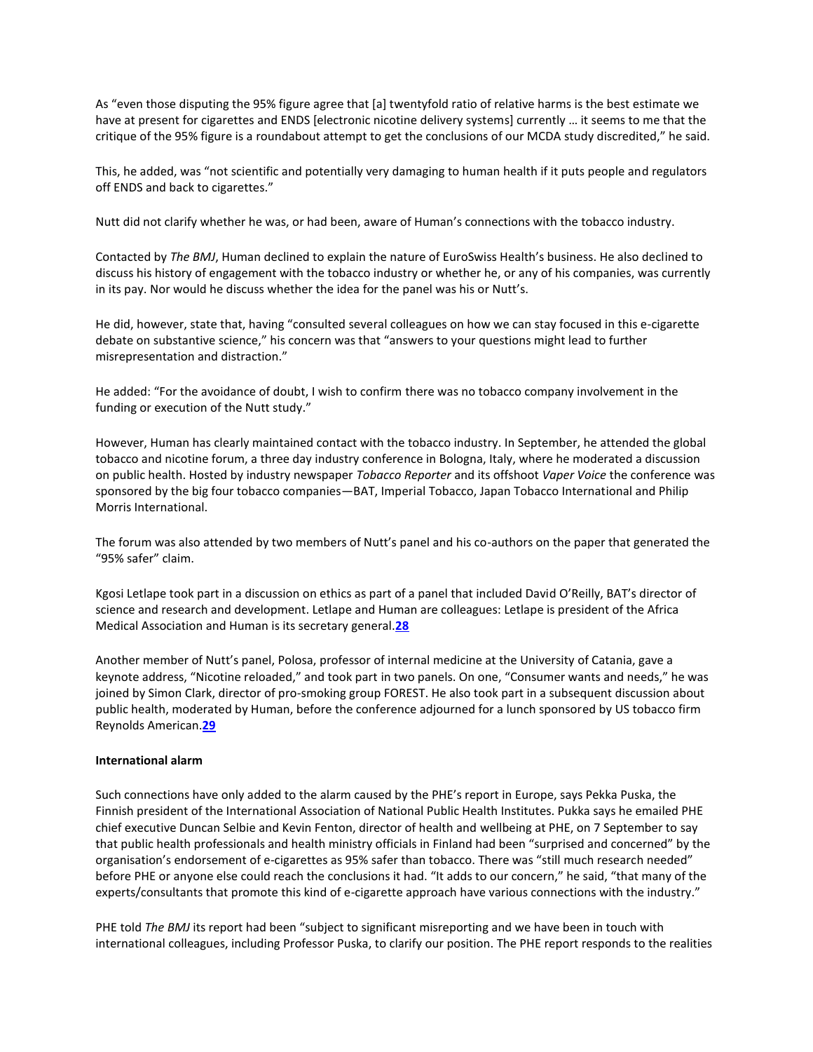As "even those disputing the 95% figure agree that [a] twentyfold ratio of relative harms is the best estimate we have at present for cigarettes and ENDS [electronic nicotine delivery systems] currently ... it seems to me that the critique of the 95% figure is a roundabout attempt to get the conclusions of our MCDA study discredited," he said.

This, he added, was "not scientific and potentially very damaging to human health if it puts people and regulators off ENDS and back to cigarettes."

Nutt did not clarify whether he was, or had been, aware of Human's connections with the tobacco industry.

Contacted by *The BMJ*, Human declined to explain the nature of EuroSwiss Health's business. He also declined to discuss his history of engagement with the tobacco industry or whether he, or any of his companies, was currently in its pay. Nor would he discuss whether the idea for the panel was his or Nutt's.

He did, however, state that, having "consulted several colleagues on how we can stay focused in this e-cigarette debate on substantive science," his concern was that "answers to your questions might lead to further misrepresentation and distraction."

He added: "For the avoidance of doubt, I wish to confirm there was no tobacco company involvement in the funding or execution of the Nutt study."

However, Human has clearly maintained contact with the tobacco industry. In September, he attended the global tobacco and nicotine forum, a three day industry conference in Bologna, Italy, where he moderated a discussion on public health. Hosted by industry newspaper *Tobacco Reporter* and its offshoot *Vaper Voice* the conference was sponsored by the big four tobacco companies—BAT, Imperial Tobacco, Japan Tobacco International and Philip Morris International.

The forum was also attended by two members of Nutt's panel and his co-authors on the paper that generated the "95% safer" claim.

Kgosi Letlape took part in a discussion on ethics as part of a panel that included David O'Reilly, BAT's director of science and research and development. Letlape and Human are colleagues: Letlape is president of the Africa Medical Association and Human is its secretary general.**[28](http://www.bmj.com/content/351/bmj.h5826?hwoasp=authn%3A1446806977%3A4130230%3A3261704988%3A0%3A0%3Ag9aOiOsVY4RneZHSNQ6LMQ%3D%3D#ref-28)**

Another member of Nutt's panel, Polosa, professor of internal medicine at the University of Catania, gave a keynote address, "Nicotine reloaded," and took part in two panels. On one, "Consumer wants and needs," he was joined by Simon Clark, director of pro-smoking group FOREST. He also took part in a subsequent discussion about public health, moderated by Human, before the conference adjourned for a lunch sponsored by US tobacco firm Reynolds American.**[29](http://www.bmj.com/content/351/bmj.h5826?hwoasp=authn%3A1446806977%3A4130230%3A3261704988%3A0%3A0%3Ag9aOiOsVY4RneZHSNQ6LMQ%3D%3D#ref-29)**

#### **International alarm**

Such connections have only added to the alarm caused by the PHE's report in Europe, says Pekka Puska, the Finnish president of the International Association of National Public Health Institutes. Pukka says he emailed PHE chief executive Duncan Selbie and Kevin Fenton, director of health and wellbeing at PHE, on 7 September to say that public health professionals and health ministry officials in Finland had been "surprised and concerned" by the organisation's endorsement of e-cigarettes as 95% safer than tobacco. There was "still much research needed" before PHE or anyone else could reach the conclusions it had. "It adds to our concern," he said, "that many of the experts/consultants that promote this kind of e-cigarette approach have various connections with the industry."

PHE told *The BMJ* its report had been "subject to significant misreporting and we have been in touch with international colleagues, including Professor Puska, to clarify our position. The PHE report responds to the realities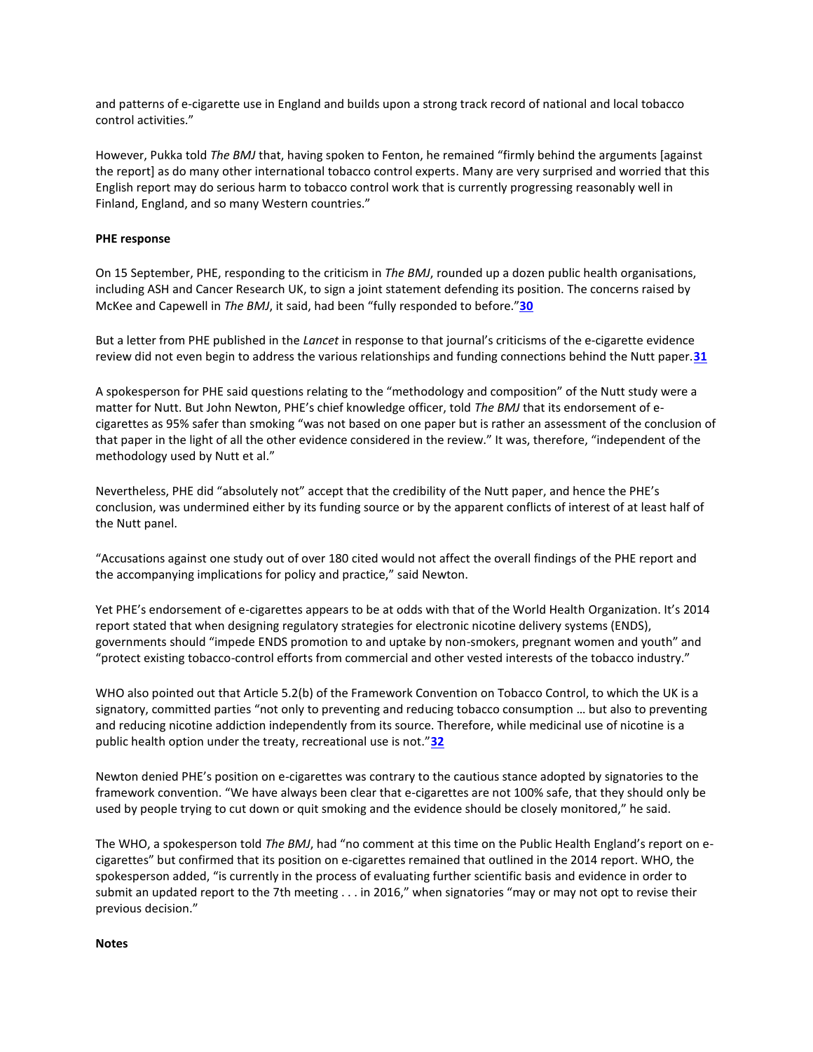and patterns of e-cigarette use in England and builds upon a strong track record of national and local tobacco control activities."

However, Pukka told *The BMJ* that, having spoken to Fenton, he remained "firmly behind the arguments [against the report] as do many other international tobacco control experts. Many are very surprised and worried that this English report may do serious harm to tobacco control work that is currently progressing reasonably well in Finland, England, and so many Western countries."

#### **PHE response**

On 15 September, PHE, responding to the criticism in *The BMJ*, rounded up a dozen public health organisations, including ASH and Cancer Research UK, to sign a joint statement defending its position. The concerns raised by McKee and Capewell in *The BMJ*, it said, had been "fully responded to before."**[30](http://www.bmj.com/content/351/bmj.h5826?hwoasp=authn%3A1446806977%3A4130230%3A3261704988%3A0%3A0%3Ag9aOiOsVY4RneZHSNQ6LMQ%3D%3D#ref-30)**

But a letter from PHE published in the *Lancet* in response to that journal's criticisms of the e-cigarette evidence review did not even begin to address the various relationships and funding connections behind the Nutt paper.**[31](http://www.bmj.com/content/351/bmj.h5826?hwoasp=authn%3A1446806977%3A4130230%3A3261704988%3A0%3A0%3Ag9aOiOsVY4RneZHSNQ6LMQ%3D%3D#ref-31)**

A spokesperson for PHE said questions relating to the "methodology and composition" of the Nutt study were a matter for Nutt. But John Newton, PHE's chief knowledge officer, told *The BMJ* that its endorsement of ecigarettes as 95% safer than smoking "was not based on one paper but is rather an assessment of the conclusion of that paper in the light of all the other evidence considered in the review." It was, therefore, "independent of the methodology used by Nutt et al."

Nevertheless, PHE did "absolutely not" accept that the credibility of the Nutt paper, and hence the PHE's conclusion, was undermined either by its funding source or by the apparent conflicts of interest of at least half of the Nutt panel.

"Accusations against one study out of over 180 cited would not affect the overall findings of the PHE report and the accompanying implications for policy and practice," said Newton.

Yet PHE's endorsement of e-cigarettes appears to be at odds with that of the World Health Organization. It's 2014 report stated that when designing regulatory strategies for electronic nicotine delivery systems (ENDS), governments should "impede ENDS promotion to and uptake by non-smokers, pregnant women and youth" and "protect existing tobacco-control efforts from commercial and other vested interests of the tobacco industry."

WHO also pointed out that Article 5.2(b) of the Framework Convention on Tobacco Control, to which the UK is a signatory, committed parties "not only to preventing and reducing tobacco consumption … but also to preventing and reducing nicotine addiction independently from its source. Therefore, while medicinal use of nicotine is a public health option under the treaty, recreational use is not."**[32](http://www.bmj.com/content/351/bmj.h5826?hwoasp=authn%3A1446806977%3A4130230%3A3261704988%3A0%3A0%3Ag9aOiOsVY4RneZHSNQ6LMQ%3D%3D#ref-32)**

Newton denied PHE's position on e-cigarettes was contrary to the cautious stance adopted by signatories to the framework convention. "We have always been clear that e-cigarettes are not 100% safe, that they should only be used by people trying to cut down or quit smoking and the evidence should be closely monitored," he said.

The WHO, a spokesperson told *The BMJ*, had "no comment at this time on the Public Health England's report on ecigarettes" but confirmed that its position on e-cigarettes remained that outlined in the 2014 report. WHO, the spokesperson added, "is currently in the process of evaluating further scientific basis and evidence in order to submit an updated report to the 7th meeting . . . in 2016," when signatories "may or may not opt to revise their previous decision."

#### **Notes**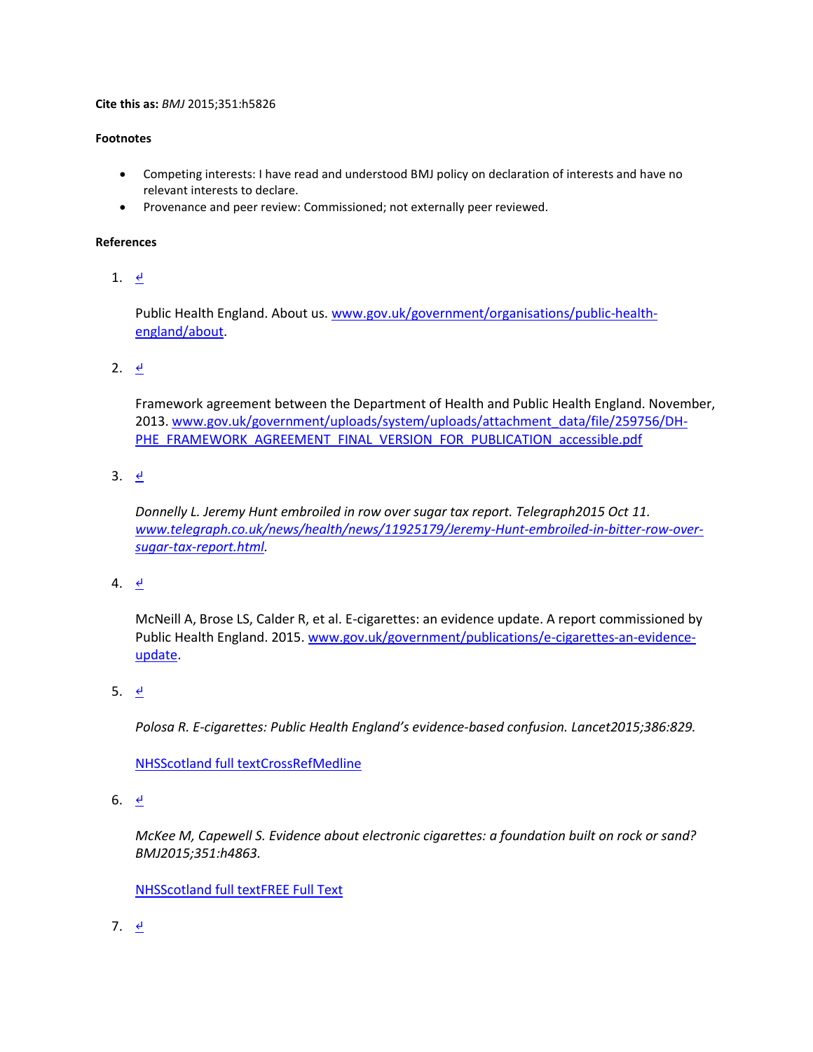#### **Cite this as:** *BMJ* 2015;351:h5826

#### **Footnotes**

- Competing interests: I have read and understood BMJ policy on declaration of interests and have no relevant interests to declare.
- Provenance and peer review: Commissioned; not externally peer reviewed.

#### **References**

1.  $\leq$ 

Public Health England. About us[. www.gov.uk/government/organisations/public-health](http://www.gov.uk/government/organisations/public-health-england/about)[england/about.](http://www.gov.uk/government/organisations/public-health-england/about)

2.  $\theta$ 

Framework agreement between the Department of Health and Public Health England. November, 2013[. www.gov.uk/government/uploads/system/uploads/attachment\\_data/file/259756/DH-](http://www.gov.uk/government/uploads/system/uploads/attachment_data/file/259756/DH-PHE_FRAMEWORK_AGREEMENT_FINAL_VERSION_FOR_PUBLICATION_accessible.pdf)[PHE\\_FRAMEWORK\\_AGREEMENT\\_FINAL\\_VERSION\\_FOR\\_PUBLICATION\\_accessible.pdf](http://www.gov.uk/government/uploads/system/uploads/attachment_data/file/259756/DH-PHE_FRAMEWORK_AGREEMENT_FINAL_VERSION_FOR_PUBLICATION_accessible.pdf)

3.  $\leq$ 

*Donnelly L. Jeremy Hunt embroiled in row over sugar tax report. Telegraph2015 Oct 11. [www.telegraph.co.uk/news/health/news/11925179/Jeremy-Hunt-embroiled-in-bitter-row-over](http://www.telegraph.co.uk/news/health/news/11925179/Jeremy-Hunt-embroiled-in-bitter-row-over-sugar-tax-report.html)[sugar-tax-report.html.](http://www.telegraph.co.uk/news/health/news/11925179/Jeremy-Hunt-embroiled-in-bitter-row-over-sugar-tax-report.html)*

4.  $\frac{d}{ }$ 

McNeill A, Brose LS, Calder R, et al. E-cigarettes: an evidence update. A report commissioned by Public Health England. 2015. [www.gov.uk/government/publications/e-cigarettes-an-evidence](http://www.gov.uk/government/publications/e-cigarettes-an-evidence-update)[update.](http://www.gov.uk/government/publications/e-cigarettes-an-evidence-update)

5. [↵](http://www.bmj.com/content/351/bmj.h5826?hwoasp=authn%3A1446806977%3A4130230%3A3261704988%3A0%3A0%3Ag9aOiOsVY4RneZHSNQ6LMQ%3D%3D#xref-ref-5-1)

*Polosa R. E-cigarettes: Public Health England's evidence-based confusion. Lancet2015;386:829.*

[NHSScotland full textCrossRef](http://www.bmj.com/highwire/openurl?query=rft.jtitle=Lancet&rft.volume=386&rft.spage=829&rft_id=info:doi/10.1016/S0140-6736(15)00042-2&rft_id=info:pmid/26335861&rft.genre=article&rft_val_fmt=info:ofi/fmt:kev:mtx:journal&ctx_ver=Z39.88-2004&url_ver=Z39.88-2004&url_ctx_fmt=info:ofi/fmt:kev:mtx:ctx&redirect_url=http://sfx-44nhss.hosted.exlibrisgroup.com/44nhss)[Medline](http://www.bmj.com/lookup/external-ref?access_num=26335861&link_type=MED&atom=%2Fbmj%2F351%2Fbmj.h5826.atom)

6.  $\leq$ 

*McKee M, Capewell S. Evidence about electronic cigarettes: a foundation built on rock or sand? BMJ2015;351:h4863.*

[NHSScotland full textFREE Full Text](http://www.bmj.com/highwire/openurl?query=rft.jtitle=BMJ&rft_id=info:doi/10.1136/bmj.h4863&rft_id=info:pmid/26374616&rft.genre=article&rft_val_fmt=info:ofi/fmt:kev:mtx:journal&ctx_ver=Z39.88-2004&url_ver=Z39.88-2004&url_ctx_fmt=info:ofi/fmt:kev:mtx:ctx&redirect_url=http://sfx-44nhss.hosted.exlibrisgroup.com/44nhss)

7.  $\frac{d}{ }$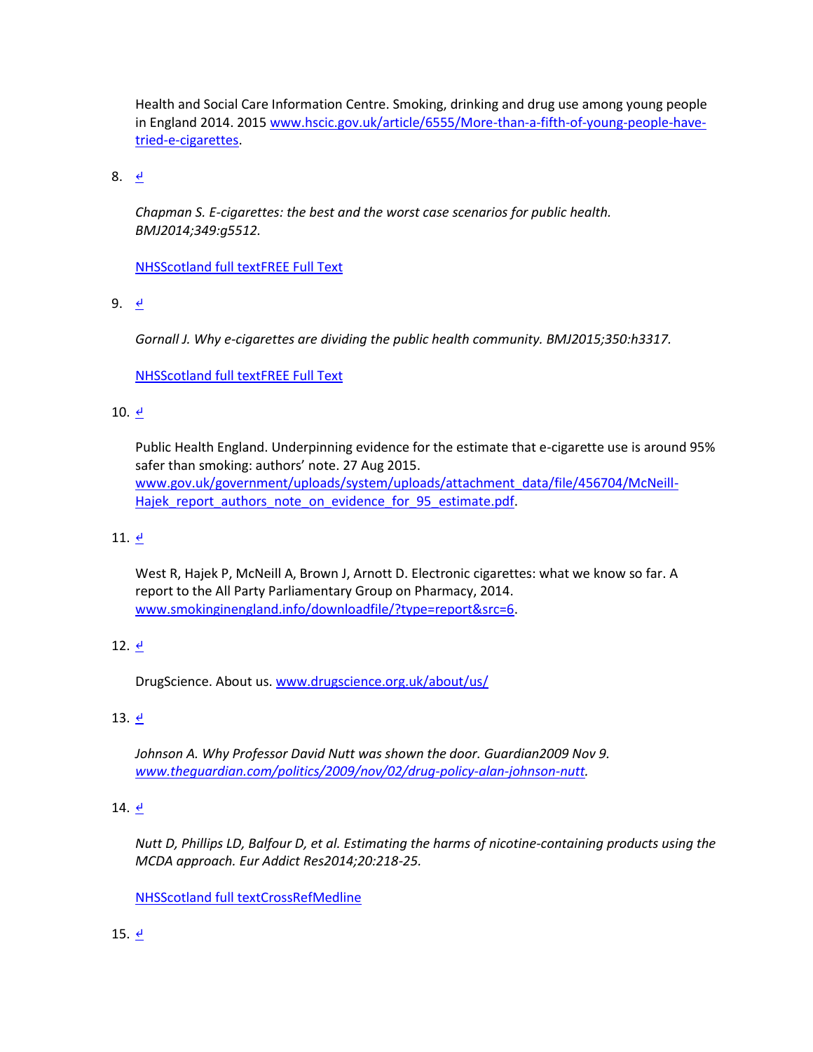Health and Social Care Information Centre. Smoking, drinking and drug use among young people in England 2014. 2015 [www.hscic.gov.uk/article/6555/More-than-a-fifth-of-young-people-have](http://www.hscic.gov.uk/article/6555/More-than-a-fifth-of-young-people-have-tried-e-cigarettes)[tried-e-cigarettes.](http://www.hscic.gov.uk/article/6555/More-than-a-fifth-of-young-people-have-tried-e-cigarettes)

8. [↵](http://www.bmj.com/content/351/bmj.h5826?hwoasp=authn%3A1446806977%3A4130230%3A3261704988%3A0%3A0%3Ag9aOiOsVY4RneZHSNQ6LMQ%3D%3D#xref-ref-8-1)

*Chapman S. E-cigarettes: the best and the worst case scenarios for public health. BMJ2014;349:g5512.*

[NHSScotland full textFREE Full Text](http://www.bmj.com/highwire/openurl?query=rft.jtitle=BMJ&rft_id=info:doi/10.1136/bmj.g5512&rft_id=info:pmid/25204397&rft.genre=article&rft_val_fmt=info:ofi/fmt:kev:mtx:journal&ctx_ver=Z39.88-2004&url_ver=Z39.88-2004&url_ctx_fmt=info:ofi/fmt:kev:mtx:ctx&redirect_url=http://sfx-44nhss.hosted.exlibrisgroup.com/44nhss)

9. [↵](http://www.bmj.com/content/351/bmj.h5826?hwoasp=authn%3A1446806977%3A4130230%3A3261704988%3A0%3A0%3Ag9aOiOsVY4RneZHSNQ6LMQ%3D%3D#xref-ref-9-1)

*Gornall J. Why e-cigarettes are dividing the public health community. BMJ2015;350:h3317.*

[NHSScotland full textFREE Full Text](http://www.bmj.com/highwire/openurl?query=rft.jtitle=BMJ&rft_id=info:doi/10.1136/bmj.h3317&rft_id=info:pmid/26109314&rft.genre=article&rft_val_fmt=info:ofi/fmt:kev:mtx:journal&ctx_ver=Z39.88-2004&url_ver=Z39.88-2004&url_ctx_fmt=info:ofi/fmt:kev:mtx:ctx&redirect_url=http://sfx-44nhss.hosted.exlibrisgroup.com/44nhss)

### 10. [↵](http://www.bmj.com/content/351/bmj.h5826?hwoasp=authn%3A1446806977%3A4130230%3A3261704988%3A0%3A0%3Ag9aOiOsVY4RneZHSNQ6LMQ%3D%3D#xref-ref-10-1)

Public Health England. Underpinning evidence for the estimate that e-cigarette use is around 95% safer than smoking: authors' note. 27 Aug 2015. [www.gov.uk/government/uploads/system/uploads/attachment\\_data/file/456704/McNeill-](http://www.gov.uk/government/uploads/system/uploads/attachment_data/file/456704/McNeill-Hajek_report_authors_note_on_evidence_for_95_estimate.pdf)Hajek report authors note on evidence for 95 estimate.pdf.

### 11.  $\leq$

West R, Hajek P, McNeill A, Brown J, Arnott D. Electronic cigarettes: what we know so far. A report to the All Party Parliamentary Group on Pharmacy, 2014. [www.smokinginengland.info/downloadfile/?type=report&src=6.](http://www.smokinginengland.info/downloadfile/?type=report&src=6)

### 12.  $\leq$

DrugScience. About us[. www.drugscience.org.uk/about/us/](http://www.drugscience.org.uk/about/us/)

### 13. [↵](http://www.bmj.com/content/351/bmj.h5826?hwoasp=authn%3A1446806977%3A4130230%3A3261704988%3A0%3A0%3Ag9aOiOsVY4RneZHSNQ6LMQ%3D%3D#xref-ref-13-1)

*Johnson A. Why Professor David Nutt was shown the door. Guardian2009 Nov 9. [www.theguardian.com/politics/2009/nov/02/drug-policy-alan-johnson-nutt.](http://www.theguardian.com/politics/2009/nov/02/drug-policy-alan-johnson-nutt)*

### 14.  $\leq$

*Nutt D, Phillips LD, Balfour D, et al. Estimating the harms of nicotine-containing products using the MCDA approach. Eur Addict Res2014;20:218-25.*

[NHSScotland full textCrossRef](http://www.bmj.com/highwire/openurl?query=rft.jtitle=Eur%20Addict%20Res&rft.volume=20&rft.spage=218&rft_id=info:doi/10.1159/000360220&rft_id=info:pmid/24714502&rft.genre=article&rft_val_fmt=info:ofi/fmt:kev:mtx:journal&ctx_ver=Z39.88-2004&url_ver=Z39.88-2004&url_ctx_fmt=info:ofi/fmt:kev:mtx:ctx&redirect_url=http://sfx-44nhss.hosted.exlibrisgroup.com/44nhss)[Medline](http://www.bmj.com/lookup/external-ref?access_num=24714502&link_type=MED&atom=%2Fbmj%2F351%2Fbmj.h5826.atom)

### 15.  $\leq$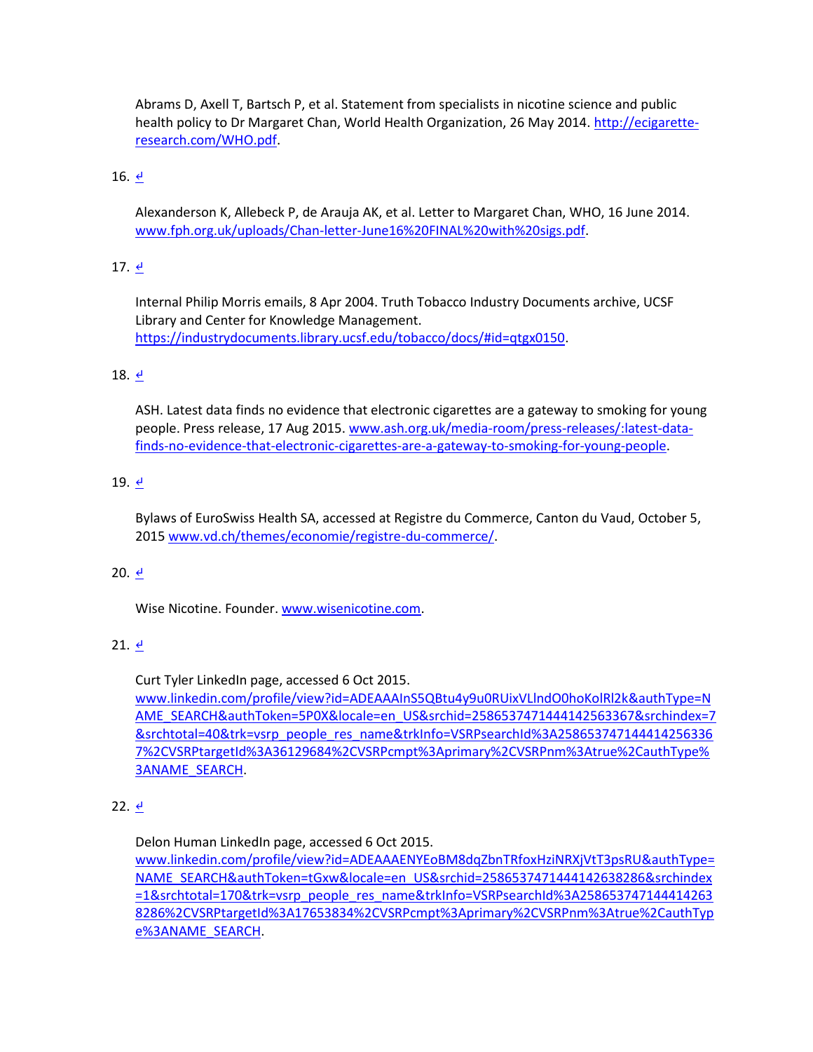Abrams D, Axell T, Bartsch P, et al. Statement from specialists in nicotine science and public health policy to Dr Margaret Chan, World Health Organization, 26 May 2014. [http://ecigarette](http://ecigarette-research.com/WHO.pdf)[research.com/WHO.pdf.](http://ecigarette-research.com/WHO.pdf)

# 16. [↵](http://www.bmj.com/content/351/bmj.h5826?hwoasp=authn%3A1446806977%3A4130230%3A3261704988%3A0%3A0%3Ag9aOiOsVY4RneZHSNQ6LMQ%3D%3D#xref-ref-16-1)

Alexanderson K, Allebeck P, de Arauja AK, et al. Letter to Margaret Chan, WHO, 16 June 2014. [www.fph.org.uk/uploads/Chan-letter-June16%20FINAL%20with%20sigs.pdf.](http://www.fph.org.uk/uploads/Chan-letter-June16%20FINAL%20with%20sigs.pdf)

# 17.  $\leq$

Internal Philip Morris emails, 8 Apr 2004. Truth Tobacco Industry Documents archive, UCSF Library and Center for Knowledge Management. [https://industrydocuments.library.ucsf.edu/tobacco/docs/#id=qtgx0150.](https://industrydocuments.library.ucsf.edu/tobacco/docs/#id=qtgx0150)

# 18. [↵](http://www.bmj.com/content/351/bmj.h5826?hwoasp=authn%3A1446806977%3A4130230%3A3261704988%3A0%3A0%3Ag9aOiOsVY4RneZHSNQ6LMQ%3D%3D#xref-ref-18-1)

ASH. Latest data finds no evidence that electronic cigarettes are a gateway to smoking for young people. Press release, 17 Aug 2015. [www.ash.org.uk/media-room/press-releases/:latest-data](http://www.ash.org.uk/media-room/press-releases/:latest-data-finds-no-evidence-that-electronic-cigarettes-are-a-gateway-to-smoking-for-young-people)[finds-no-evidence-that-electronic-cigarettes-are-a-gateway-to-smoking-for-young-people.](http://www.ash.org.uk/media-room/press-releases/:latest-data-finds-no-evidence-that-electronic-cigarettes-are-a-gateway-to-smoking-for-young-people)

# 19.  $\leq$

Bylaws of EuroSwiss Health SA, accessed at Registre du Commerce, Canton du Vaud, October 5, 2015 [www.vd.ch/themes/economie/registre-du-commerce/.](http://www.vd.ch/themes/economie/registre-du-commerce/)

### 20.  $\frac{d}{ }$

Wise Nicotine. Founder. [www.wisenicotine.com.](http://www.wisenicotine.com/)

# $21.$   $\leftrightarrow$

Curt Tyler LinkedIn page, accessed 6 Oct 2015.

[www.linkedin.com/profile/view?id=ADEAAAInS5QBtu4y9u0RUixVLlndO0hoKolRl2k&authType=N](http://www.linkedin.com/profile/view?id=ADEAAAInS5QBtu4y9u0RUixVLlndO0hoKolRl2k&authType=NAME_SEARCH&authToken=5P0X&locale=en_US&srchid=2586537471444142563367&srchindex=7&srchtotal=40&trk=vsrp_people_res_name&trkInfo=VSRPsearchId%3A2586537471444142563367%2CVSRPtargetId%3A36129684%2CVSRPcmpt%3Aprimary%2CVSRPnm%3Atrue%2CauthType%3ANAME_SEARCH) [AME\\_SEARCH&authToken=5P0X&locale=en\\_US&srchid=2586537471444142563367&srchindex=7](http://www.linkedin.com/profile/view?id=ADEAAAInS5QBtu4y9u0RUixVLlndO0hoKolRl2k&authType=NAME_SEARCH&authToken=5P0X&locale=en_US&srchid=2586537471444142563367&srchindex=7&srchtotal=40&trk=vsrp_people_res_name&trkInfo=VSRPsearchId%3A2586537471444142563367%2CVSRPtargetId%3A36129684%2CVSRPcmpt%3Aprimary%2CVSRPnm%3Atrue%2CauthType%3ANAME_SEARCH) [&srchtotal=40&trk=vsrp\\_people\\_res\\_name&trkInfo=VSRPsearchId%3A258653747144414256336](http://www.linkedin.com/profile/view?id=ADEAAAInS5QBtu4y9u0RUixVLlndO0hoKolRl2k&authType=NAME_SEARCH&authToken=5P0X&locale=en_US&srchid=2586537471444142563367&srchindex=7&srchtotal=40&trk=vsrp_people_res_name&trkInfo=VSRPsearchId%3A2586537471444142563367%2CVSRPtargetId%3A36129684%2CVSRPcmpt%3Aprimary%2CVSRPnm%3Atrue%2CauthType%3ANAME_SEARCH) [7%2CVSRPtargetId%3A36129684%2CVSRPcmpt%3Aprimary%2CVSRPnm%3Atrue%2CauthType%](http://www.linkedin.com/profile/view?id=ADEAAAInS5QBtu4y9u0RUixVLlndO0hoKolRl2k&authType=NAME_SEARCH&authToken=5P0X&locale=en_US&srchid=2586537471444142563367&srchindex=7&srchtotal=40&trk=vsrp_people_res_name&trkInfo=VSRPsearchId%3A2586537471444142563367%2CVSRPtargetId%3A36129684%2CVSRPcmpt%3Aprimary%2CVSRPnm%3Atrue%2CauthType%3ANAME_SEARCH) [3ANAME\\_SEARCH.](http://www.linkedin.com/profile/view?id=ADEAAAInS5QBtu4y9u0RUixVLlndO0hoKolRl2k&authType=NAME_SEARCH&authToken=5P0X&locale=en_US&srchid=2586537471444142563367&srchindex=7&srchtotal=40&trk=vsrp_people_res_name&trkInfo=VSRPsearchId%3A2586537471444142563367%2CVSRPtargetId%3A36129684%2CVSRPcmpt%3Aprimary%2CVSRPnm%3Atrue%2CauthType%3ANAME_SEARCH)

### 22. [↵](http://www.bmj.com/content/351/bmj.h5826?hwoasp=authn%3A1446806977%3A4130230%3A3261704988%3A0%3A0%3Ag9aOiOsVY4RneZHSNQ6LMQ%3D%3D#xref-ref-22-1)

Delon Human LinkedIn page, accessed 6 Oct 2015.

[www.linkedin.com/profile/view?id=ADEAAAENYEoBM8dqZbnTRfoxHziNRXjVtT3psRU&authType=](http://www.linkedin.com/profile/view?id=ADEAAAENYEoBM8dqZbnTRfoxHziNRXjVtT3psRU&authType=NAME_SEARCH&authToken=tGxw&locale=en_US&srchid=2586537471444142638286&srchindex=1&srchtotal=170&trk=vsrp_people_res_name&trkInfo=VSRPsearchId%3A2586537471444142638286%2CVSRPtargetId%3A17653834%2CVSRPcmpt%3Aprimary%2CVSRPnm%3Atrue%2CauthType%3ANAME_SEARCH) [NAME\\_SEARCH&authToken=tGxw&locale=en\\_US&srchid=2586537471444142638286&srchindex](http://www.linkedin.com/profile/view?id=ADEAAAENYEoBM8dqZbnTRfoxHziNRXjVtT3psRU&authType=NAME_SEARCH&authToken=tGxw&locale=en_US&srchid=2586537471444142638286&srchindex=1&srchtotal=170&trk=vsrp_people_res_name&trkInfo=VSRPsearchId%3A2586537471444142638286%2CVSRPtargetId%3A17653834%2CVSRPcmpt%3Aprimary%2CVSRPnm%3Atrue%2CauthType%3ANAME_SEARCH) [=1&srchtotal=170&trk=vsrp\\_people\\_res\\_name&trkInfo=VSRPsearchId%3A258653747144414263](http://www.linkedin.com/profile/view?id=ADEAAAENYEoBM8dqZbnTRfoxHziNRXjVtT3psRU&authType=NAME_SEARCH&authToken=tGxw&locale=en_US&srchid=2586537471444142638286&srchindex=1&srchtotal=170&trk=vsrp_people_res_name&trkInfo=VSRPsearchId%3A2586537471444142638286%2CVSRPtargetId%3A17653834%2CVSRPcmpt%3Aprimary%2CVSRPnm%3Atrue%2CauthType%3ANAME_SEARCH) [8286%2CVSRPtargetId%3A17653834%2CVSRPcmpt%3Aprimary%2CVSRPnm%3Atrue%2CauthTyp](http://www.linkedin.com/profile/view?id=ADEAAAENYEoBM8dqZbnTRfoxHziNRXjVtT3psRU&authType=NAME_SEARCH&authToken=tGxw&locale=en_US&srchid=2586537471444142638286&srchindex=1&srchtotal=170&trk=vsrp_people_res_name&trkInfo=VSRPsearchId%3A2586537471444142638286%2CVSRPtargetId%3A17653834%2CVSRPcmpt%3Aprimary%2CVSRPnm%3Atrue%2CauthType%3ANAME_SEARCH) [e%3ANAME\\_SEARCH.](http://www.linkedin.com/profile/view?id=ADEAAAENYEoBM8dqZbnTRfoxHziNRXjVtT3psRU&authType=NAME_SEARCH&authToken=tGxw&locale=en_US&srchid=2586537471444142638286&srchindex=1&srchtotal=170&trk=vsrp_people_res_name&trkInfo=VSRPsearchId%3A2586537471444142638286%2CVSRPtargetId%3A17653834%2CVSRPcmpt%3Aprimary%2CVSRPnm%3Atrue%2CauthType%3ANAME_SEARCH)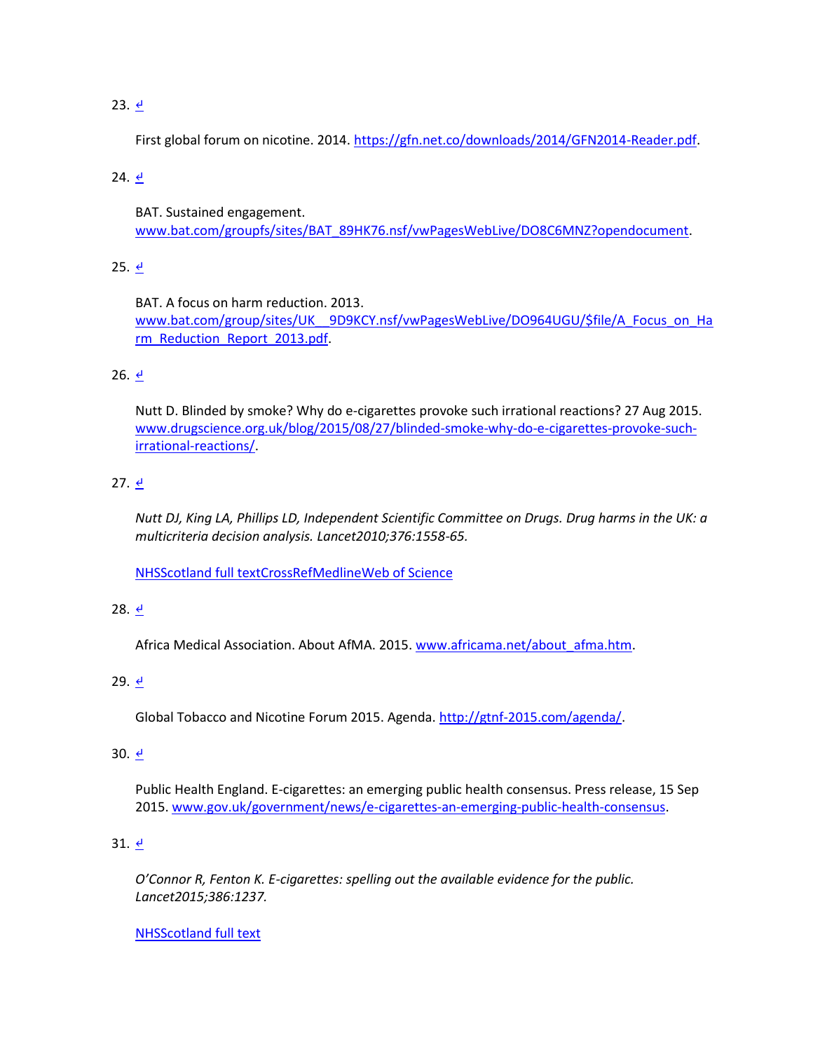# 23.  $\leq$

First global forum on nicotine. 2014[. https://gfn.net.co/downloads/2014/GFN2014-Reader.pdf.](https://gfn.net.co/downloads/2014/GFN2014-Reader.pdf)

## 24. [↵](http://www.bmj.com/content/351/bmj.h5826?hwoasp=authn%3A1446806977%3A4130230%3A3261704988%3A0%3A0%3Ag9aOiOsVY4RneZHSNQ6LMQ%3D%3D#xref-ref-24-1)

BAT. Sustained engagement. [www.bat.com/groupfs/sites/BAT\\_89HK76.nsf/vwPagesWebLive/DO8C6MNZ?opendocument.](http://www.bat.com/groupfs/sites/BAT_89HK76.nsf/vwPagesWebLive/DO8C6MNZ?opendocument)

## 25.  $\frac{d}{ }$

BAT. A focus on harm reduction. 2013. [www.bat.com/group/sites/UK\\_\\_9D9KCY.nsf/vwPagesWebLive/DO964UGU/\\$file/A\\_Focus\\_on\\_Ha](http://www.bat.com/group/sites/UK__9D9KCY.nsf/vwPagesWebLive/DO964UGU/$file/A_Focus_on_Harm_Reduction_Report_2013.pdf) [rm\\_Reduction\\_Report\\_2013.pdf.](http://www.bat.com/group/sites/UK__9D9KCY.nsf/vwPagesWebLive/DO964UGU/$file/A_Focus_on_Harm_Reduction_Report_2013.pdf)

## $26.$  [↵](http://www.bmj.com/content/351/bmj.h5826?hwoasp=authn%3A1446806977%3A4130230%3A3261704988%3A0%3A0%3Ag9aOiOsVY4RneZHSNQ6LMQ%3D%3D#xref-ref-26-1)

Nutt D. Blinded by smoke? Why do e-cigarettes provoke such irrational reactions? 27 Aug 2015. [www.drugscience.org.uk/blog/2015/08/27/blinded-smoke-why-do-e-cigarettes-provoke-such](http://www.drugscience.org.uk/blog/2015/08/27/blinded-smoke-why-do-e-cigarettes-provoke-such-irrational-reactions/)[irrational-reactions/.](http://www.drugscience.org.uk/blog/2015/08/27/blinded-smoke-why-do-e-cigarettes-provoke-such-irrational-reactions/)

## $27. \underline{e}$

*Nutt DJ, King LA, Phillips LD, Independent Scientific Committee on Drugs. Drug harms in the UK: a multicriteria decision analysis. Lancet2010;376:1558-65.*

[NHSScotland full textCrossRef](http://www.bmj.com/highwire/openurl?query=rft.jtitle=Lancet&rft.stitle=Lancet&rft.aulast=Nutt&rft.auinit1=D.%20J.&rft.volume=376&rft.issue=9752&rft.spage=1558&rft.epage=1565&rft.atitle=Drug%20harms%20in%20the%20UK:%20a%20multicriteria%20decision%20analysis.&rft_id=info:doi/10.1016/S0140-6736(10)61462-6&rft_id=info:pmid/21036393&rft.genre=article&rft_val_fmt=info:ofi/fmt:kev:mtx:journal&ctx_ver=Z39.88-2004&url_ver=Z39.88-2004&url_ctx_fmt=info:ofi/fmt:kev:mtx:ctx&redirect_url=http://sfx-44nhss.hosted.exlibrisgroup.com/44nhss)[MedlineWeb of Science](http://www.bmj.com/lookup/external-ref?access_num=21036393&link_type=MED&atom=%2Fbmj%2F351%2Fbmj.h5826.atom)

### 28. [↵](http://www.bmj.com/content/351/bmj.h5826?hwoasp=authn%3A1446806977%3A4130230%3A3261704988%3A0%3A0%3Ag9aOiOsVY4RneZHSNQ6LMQ%3D%3D#xref-ref-28-1)

Africa Medical Association. About AfMA. 2015. [www.africama.net/about\\_afma.htm.](http://www.africama.net/about_afma.htm)

### 29.  $\frac{d}{ }$

Global Tobacco and Nicotine Forum 2015. Agenda. [http://gtnf-2015.com/agenda/.](http://gtnf-2015.com/agenda/)

### 30. [↵](http://www.bmj.com/content/351/bmj.h5826?hwoasp=authn%3A1446806977%3A4130230%3A3261704988%3A0%3A0%3Ag9aOiOsVY4RneZHSNQ6LMQ%3D%3D#xref-ref-30-1)

Public Health England. E-cigarettes: an emerging public health consensus. Press release, 15 Sep 2015[. www.gov.uk/government/news/e-cigarettes-an-emerging-public-health-consensus.](http://www.gov.uk/government/news/e-cigarettes-an-emerging-public-health-consensus)

### $31. 4$

*O'Connor R, Fenton K. E-cigarettes: spelling out the available evidence for the public. Lancet2015;386:1237.*

[NHSScotland full text](http://www.bmj.com/highwire/openurl?query=rft.jtitle=Lancet&rft.volume=386&rft.spage=1237&rft.genre=article&rft_val_fmt=info:ofi/fmt:kev:mtx:journal&ctx_ver=Z39.88-2004&url_ver=Z39.88-2004&url_ctx_fmt=info:ofi/fmt:kev:mtx:ctx&redirect_url=http://sfx-44nhss.hosted.exlibrisgroup.com/44nhss)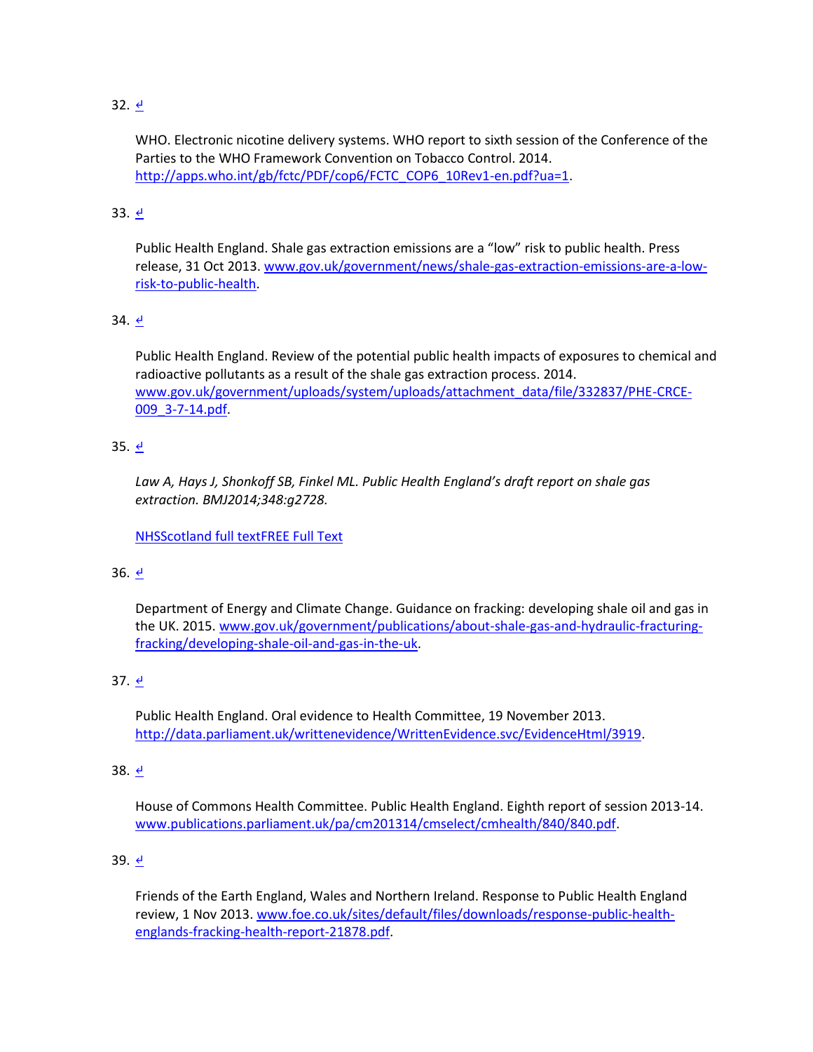# $32. \underline{e}$

WHO. Electronic nicotine delivery systems. WHO report to sixth session of the Conference of the Parties to the WHO Framework Convention on Tobacco Control. 2014. [http://apps.who.int/gb/fctc/PDF/cop6/FCTC\\_COP6\\_10Rev1-en.pdf?ua=1.](http://apps.who.int/gb/fctc/PDF/cop6/FCTC_COP6_10Rev1-en.pdf?ua=1)

# 33. [↵](http://www.bmj.com/content/351/bmj.h5826?hwoasp=authn%3A1446806977%3A4130230%3A3261704988%3A0%3A0%3Ag9aOiOsVY4RneZHSNQ6LMQ%3D%3D#xref-ref-33-1)

Public Health England. Shale gas extraction emissions are a "low" risk to public health. Press release, 31 Oct 2013. [www.gov.uk/government/news/shale-gas-extraction-emissions-are-a-low](http://www.gov.uk/government/news/shale-gas-extraction-emissions-are-a-low-risk-to-public-health)[risk-to-public-health.](http://www.gov.uk/government/news/shale-gas-extraction-emissions-are-a-low-risk-to-public-health)

# 34. [↵](http://www.bmj.com/content/351/bmj.h5826?hwoasp=authn%3A1446806977%3A4130230%3A3261704988%3A0%3A0%3Ag9aOiOsVY4RneZHSNQ6LMQ%3D%3D#xref-ref-34-1)

Public Health England. Review of the potential public health impacts of exposures to chemical and radioactive pollutants as a result of the shale gas extraction process. 2014. [www.gov.uk/government/uploads/system/uploads/attachment\\_data/file/332837/PHE-CRCE-](http://www.gov.uk/government/uploads/system/uploads/attachment_data/file/332837/PHE-CRCE-009_3-7-14.pdf)[009\\_3-7-14.pdf.](http://www.gov.uk/government/uploads/system/uploads/attachment_data/file/332837/PHE-CRCE-009_3-7-14.pdf)

# 35.  $\frac{d}{ }$

*Law A, Hays J, Shonkoff SB, Finkel ML. Public Health England's draft report on shale gas extraction. BMJ2014;348:g2728.* 

[NHSScotland full textFREE Full Text](http://www.bmj.com/highwire/openurl?query=rft.jtitle=BMJ&rft_id=info:doi/10.1136/bmj.g2728&rft_id=info:pmid/24747542&rft.genre=article&rft_val_fmt=info:ofi/fmt:kev:mtx:journal&ctx_ver=Z39.88-2004&url_ver=Z39.88-2004&url_ctx_fmt=info:ofi/fmt:kev:mtx:ctx&redirect_url=http://sfx-44nhss.hosted.exlibrisgroup.com/44nhss)

# 36.  $\frac{d}{2}$

Department of Energy and Climate Change. Guidance on fracking: developing shale oil and gas in the UK. 2015. [www.gov.uk/government/publications/about-shale-gas-and-hydraulic-fracturing](http://www.gov.uk/government/publications/about-shale-gas-and-hydraulic-fracturing-fracking/developing-shale-oil-and-gas-in-the-uk)[fracking/developing-shale-oil-and-gas-in-the-uk.](http://www.gov.uk/government/publications/about-shale-gas-and-hydraulic-fracturing-fracking/developing-shale-oil-and-gas-in-the-uk)

# 37. [↵](http://www.bmj.com/content/351/bmj.h5826?hwoasp=authn%3A1446806977%3A4130230%3A3261704988%3A0%3A0%3Ag9aOiOsVY4RneZHSNQ6LMQ%3D%3D#xref-ref-37-1)

Public Health England. Oral evidence to Health Committee, 19 November 2013. [http://data.parliament.uk/writtenevidence/WrittenEvidence.svc/EvidenceHtml/3919.](http://data.parliament.uk/writtenevidence/WrittenEvidence.svc/EvidenceHtml/3919)

### 38. [↵](http://www.bmj.com/content/351/bmj.h5826?hwoasp=authn%3A1446806977%3A4130230%3A3261704988%3A0%3A0%3Ag9aOiOsVY4RneZHSNQ6LMQ%3D%3D#xref-ref-38-1)

House of Commons Health Committee. Public Health England. Eighth report of session 2013-14. [www.publications.parliament.uk/pa/cm201314/cmselect/cmhealth/840/840.pdf.](http://www.publications.parliament.uk/pa/cm201314/cmselect/cmhealth/840/840.pdf)

### 39.  $\frac{d}{2}$

Friends of the Earth England, Wales and Northern Ireland. Response to Public Health England review, 1 Nov 2013. [www.foe.co.uk/sites/default/files/downloads/response-public-health](http://www.foe.co.uk/sites/default/files/downloads/response-public-health-englands-fracking-health-report-21878.pdf)[englands-fracking-health-report-21878.pdf.](http://www.foe.co.uk/sites/default/files/downloads/response-public-health-englands-fracking-health-report-21878.pdf)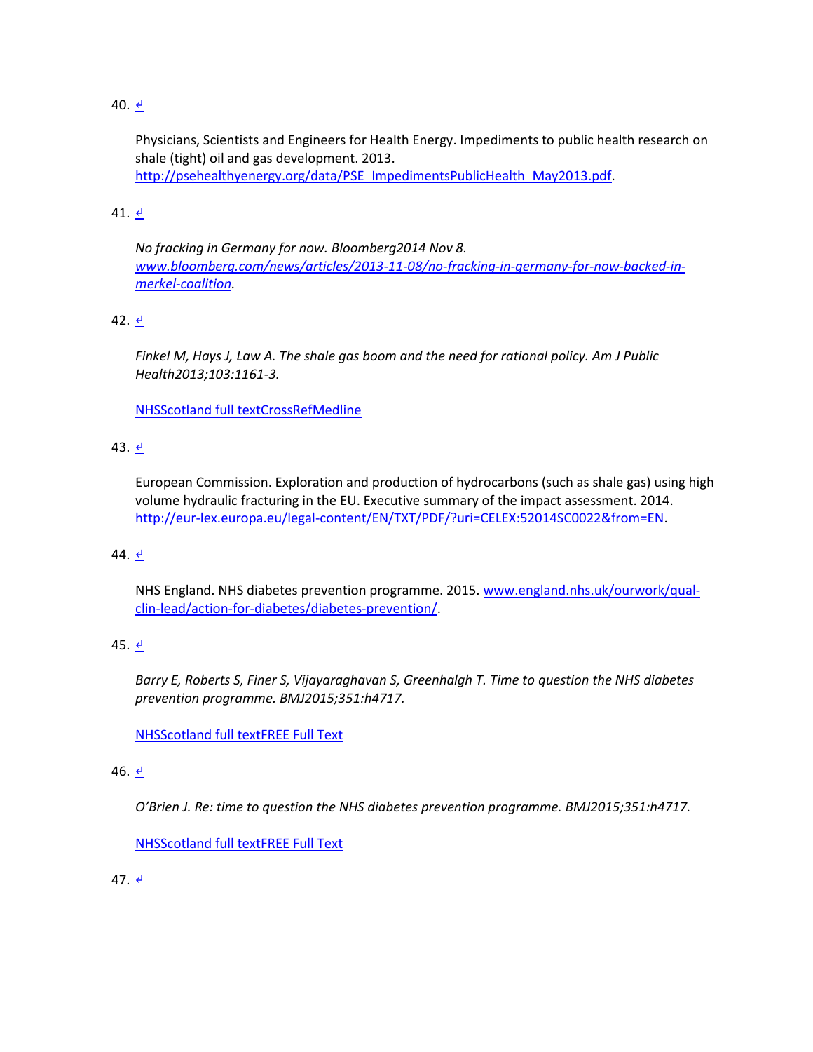## 40.  $\leq$

Physicians, Scientists and Engineers for Health Energy. Impediments to public health research on shale (tight) oil and gas development. 2013. [http://psehealthyenergy.org/data/PSE\\_ImpedimentsPublicHealth\\_May2013.pdf.](http://psehealthyenergy.org/data/PSE_ImpedimentsPublicHealth_May2013.pdf)

## 41.  $\leq$

*No fracking in Germany for now. Bloomberg2014 Nov 8. [www.bloomberg.com/news/articles/2013-11-08/no-fracking-in-germany-for-now-backed-in](http://www.bloomberg.com/news/articles/2013-11-08/no-fracking-in-germany-for-now-backed-in-merkel-coalition)[merkel-coalition.](http://www.bloomberg.com/news/articles/2013-11-08/no-fracking-in-germany-for-now-backed-in-merkel-coalition)*

## 42. [↵](http://www.bmj.com/content/351/bmj.h5826?hwoasp=authn%3A1446806977%3A4130230%3A3261704988%3A0%3A0%3Ag9aOiOsVY4RneZHSNQ6LMQ%3D%3D#xref-ref-42-1)

*Finkel M, Hays J, Law A. The shale gas boom and the need for rational policy. Am J Public Health2013;103:1161-3.*

[NHSScotland full textCrossRef](http://www.bmj.com/highwire/openurl?query=rft.jtitle=Am%20J%20Public%20Health&rft.volume=103&rft.spage=1161&rft_id=info:doi/10.2105/AJPH.2013.301285&rft_id=info:pmid/23678928&rft.genre=article&rft_val_fmt=info:ofi/fmt:kev:mtx:journal&ctx_ver=Z39.88-2004&url_ver=Z39.88-2004&url_ctx_fmt=info:ofi/fmt:kev:mtx:ctx&redirect_url=http://sfx-44nhss.hosted.exlibrisgroup.com/44nhss)[Medline](http://www.bmj.com/lookup/external-ref?access_num=23678928&link_type=MED&atom=%2Fbmj%2F351%2Fbmj.h5826.atom)

## 43. [↵](http://www.bmj.com/content/351/bmj.h5826?hwoasp=authn%3A1446806977%3A4130230%3A3261704988%3A0%3A0%3Ag9aOiOsVY4RneZHSNQ6LMQ%3D%3D#xref-ref-43-1)

European Commission. Exploration and production of hydrocarbons (such as shale gas) using high volume hydraulic fracturing in the EU. Executive summary of the impact assessment. 2014. [http://eur-lex.europa.eu/legal-content/EN/TXT/PDF/?uri=CELEX:52014SC0022&from=EN.](http://eur-lex.europa.eu/legal-content/EN/TXT/PDF/?uri=CELEX:52014SC0022&from=EN)

### 44.  $\leq$

NHS England. NHS diabetes prevention programme. 2015. [www.england.nhs.uk/ourwork/qual](http://www.england.nhs.uk/ourwork/qual-clin-lead/action-for-diabetes/diabetes-prevention/)[clin-lead/action-for-diabetes/diabetes-prevention/.](http://www.england.nhs.uk/ourwork/qual-clin-lead/action-for-diabetes/diabetes-prevention/)

# 45.  $\leq$

*Barry E, Roberts S, Finer S, Vijayaraghavan S, Greenhalgh T. Time to question the NHS diabetes prevention programme. BMJ2015;351:h4717.*

[NHSScotland full textFREE Full Text](http://www.bmj.com/highwire/openurl?query=rft.jtitle=BMJ&rft_id=info:doi/10.1136/bmj.h4717&rft_id=info:pmid/26346375&rft.genre=article&rft_val_fmt=info:ofi/fmt:kev:mtx:journal&ctx_ver=Z39.88-2004&url_ver=Z39.88-2004&url_ctx_fmt=info:ofi/fmt:kev:mtx:ctx&redirect_url=http://sfx-44nhss.hosted.exlibrisgroup.com/44nhss)

### 46. [↵](http://www.bmj.com/content/351/bmj.h5826?hwoasp=authn%3A1446806977%3A4130230%3A3261704988%3A0%3A0%3Ag9aOiOsVY4RneZHSNQ6LMQ%3D%3D#xref-ref-46-1)

*O'Brien J. Re: time to question the NHS diabetes prevention programme. BMJ2015;351:h4717.*

[NHSScotland full textFREE Full Text](http://www.bmj.com/highwire/openurl?query=rft.jtitle=BMJ&rft_id=info:doi/10.1136/bmj.h4717&rft_id=info:pmid/26346375&rft.genre=article&rft_val_fmt=info:ofi/fmt:kev:mtx:journal&ctx_ver=Z39.88-2004&url_ver=Z39.88-2004&url_ctx_fmt=info:ofi/fmt:kev:mtx:ctx&redirect_url=http://sfx-44nhss.hosted.exlibrisgroup.com/44nhss)

### 47. [↵](http://www.bmj.com/content/351/bmj.h5826?hwoasp=authn%3A1446806977%3A4130230%3A3261704988%3A0%3A0%3Ag9aOiOsVY4RneZHSNQ6LMQ%3D%3D#xref-ref-47-1)